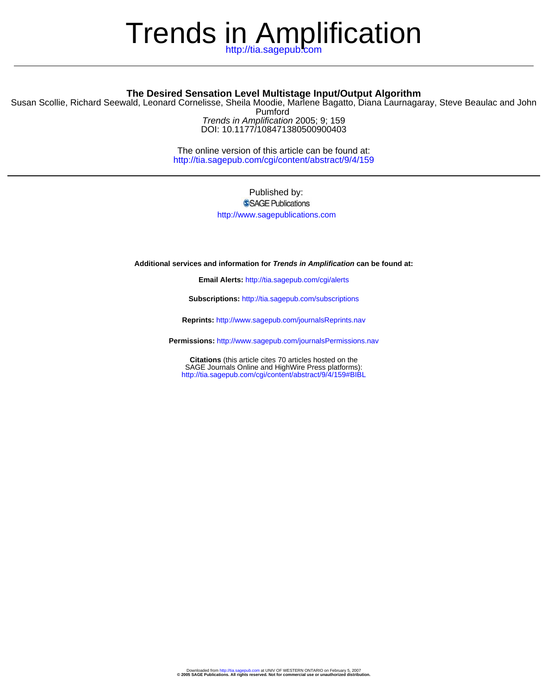# **Trends in Amplification**

# **The Desired Sensation Level Multistage Input/Output Algorithm**

Pumford Susan Scollie, Richard Seewald, Leonard Cornelisse, Sheila Moodie, Marlene Bagatto, Diana Laurnagaray, Steve Beaulac and John

DOI: 10.1177/108471380500900403 Trends in Amplification 2005; 9; 159

http://tia.sagepub.com/cgi/content/abstract/9/4/159 The online version of this article can be found at:

# Published by: SSAGE Publications

http://www.sagepublications.com

**Additional services and information for Trends in Amplification can be found at:**

**Email Alerts:** <http://tia.sagepub.com/cgi/alerts>

**Subscriptions:** <http://tia.sagepub.com/subscriptions>

**Reprints:** <http://www.sagepub.com/journalsReprints.nav>

**Permissions:** <http://www.sagepub.com/journalsPermissions.nav>

<http://tia.sagepub.com/cgi/content/abstract/9/4/159#BIBL> SAGE Journals Online and HighWire Press platforms): **Citations** (this article cites 70 articles hosted on the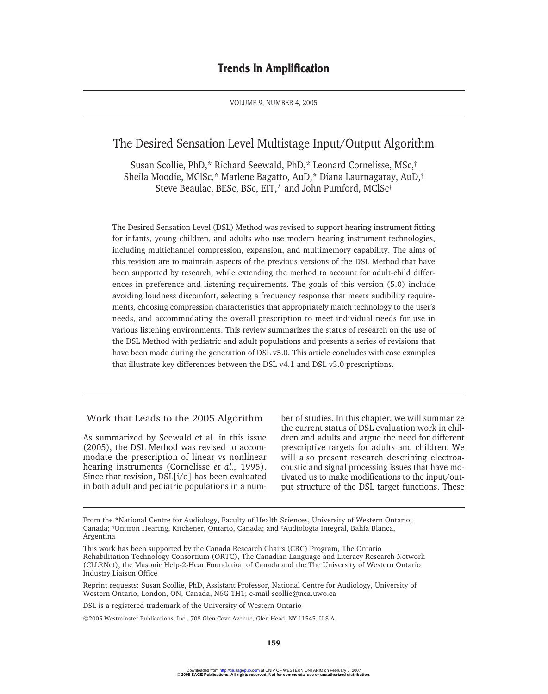# The Desired Sensation Level Multistage Input/Output Algorithm

Susan Scollie, PhD,\* Richard Seewald, PhD,\* Leonard Cornelisse, MSc,† Sheila Moodie, MClSc,\* Marlene Bagatto, AuD,\* Diana Laurnagaray, AuD,‡ Steve Beaulac, BESc, BSc, EIT,\* and John Pumford, MClSc†

The Desired Sensation Level (DSL) Method was revised to support hearing instrument fitting for infants, young children, and adults who use modern hearing instrument technologies, including multichannel compression, expansion, and multimemory capability. The aims of this revision are to maintain aspects of the previous versions of the DSL Method that have been supported by research, while extending the method to account for adult-child differences in preference and listening requirements. The goals of this version (5.0) include avoiding loudness discomfort, selecting a frequency response that meets audibility requirements, choosing compression characteristics that appropriately match technology to the user's needs, and accommodating the overall prescription to meet individual needs for use in various listening environments. This review summarizes the status of research on the use of the DSL Method with pediatric and adult populations and presents a series of revisions that have been made during the generation of DSL v5.0. This article concludes with case examples that illustrate key differences between the DSL v4.1 and DSL v5.0 prescriptions.

Work that Leads to the 2005 Algorithm

As summarized by Seewald et al. in this issue (2005), the DSL Method was revised to accommodate the prescription of linear vs nonlinear hearing instruments (Cornelisse *et al.,* 1995). Since that revision, DSL[i/o] has been evaluated in both adult and pediatric populations in a number of studies. In this chapter, we will summarize the current status of DSL evaluation work in children and adults and argue the need for different prescriptive targets for adults and children. We will also present research describing electroacoustic and signal processing issues that have motivated us to make modifications to the input/output structure of the DSL target functions. These

This work has been supported by the Canada Research Chairs (CRC) Program, The Ontario Rehabilitation Technology Consortium (ORTC), The Canadian Language and Literacy Research Network (CLLRNet), the Masonic Help-2-Hear Foundation of Canada and the The University of Western Ontario Industry Liaison Office

Reprint requests: Susan Scollie, PhD, Assistant Professor, National Centre for Audiology, University of Western Ontario, London, ON, Canada, N6G 1H1; e-mail scollie@nca.uwo.ca

DSL is a registered trademark of the University of Western Ontario

©2005 Westminster Publications, Inc., 708 Glen Cove Avenue, Glen Head, NY 11545, U.S.A.

From the \*National Centre for Audiology, Faculty of Health Sciences, University of Western Ontario, Canada; †Unitron Hearing, Kitchener, Ontario, Canada; and ‡Audiologia Integral, Bahía Blanca, Argentina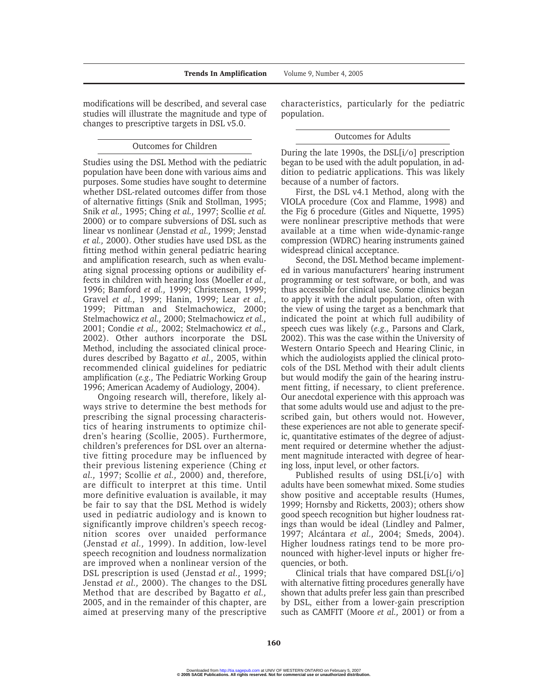modifications will be described, and several case studies will illustrate the magnitude and type of changes to prescriptive targets in DSL v5.0.

# Outcomes for Children

Studies using the DSL Method with the pediatric population have been done with various aims and purposes. Some studies have sought to determine whether DSL-related outcomes differ from those of alternative fittings (Snik and Stollman, 1995; Snik *et al.,* 1995; Ching *et al.,* 1997; Scollie *et al.* 2000) or to compare subversions of DSL such as linear vs nonlinear (Jenstad *et al.,* 1999; Jenstad *et al.,* 2000). Other studies have used DSL as the fitting method within general pediatric hearing and amplification research, such as when evaluating signal processing options or audibility effects in children with hearing loss (Moeller *et al.,* 1996; Bamford *et al.,* 1999; Christensen, 1999; Gravel *et al.,* 1999; Hanin, 1999; Lear *et al.,* 1999; Pittman and Stelmachowicz, 2000; Stelmachowicz *et al.,* 2000; Stelmachowicz *et al.,* 2001; Condie *et al.,* 2002; Stelmachowicz *et al.,* 2002). Other authors incorporate the DSL Method, including the associated clinical procedures described by Bagatto *et al.,* 2005, within recommended clinical guidelines for pediatric amplification (*e.g.,* The Pediatric Working Group 1996; American Academy of Audiology, 2004).

Ongoing research will, therefore, likely always strive to determine the best methods for prescribing the signal processing characteristics of hearing instruments to optimize children's hearing (Scollie, 2005). Furthermore, children's preferences for DSL over an alternative fitting procedure may be influenced by their previous listening experience (Ching *et al.,* 1997; Scollie *et al.,* 2000) and, therefore, are difficult to interpret at this time. Until more definitive evaluation is available, it may be fair to say that the DSL Method is widely used in pediatric audiology and is known to significantly improve children's speech recognition scores over unaided performance (Jenstad *et al.,* 1999). In addition, low-level speech recognition and loudness normalization are improved when a nonlinear version of the DSL prescription is used (Jenstad *et al.,* 1999; Jenstad *et al.,* 2000). The changes to the DSL Method that are described by Bagatto *et al.,* 2005, and in the remainder of this chapter, are aimed at preserving many of the prescriptive

characteristics, particularly for the pediatric population.

#### Outcomes for Adults

During the late 1990s, the DSL[i/o] prescription began to be used with the adult population, in addition to pediatric applications. This was likely because of a number of factors.

First, the DSL v4.1 Method, along with the VIOLA procedure (Cox and Flamme, 1998) and the Fig 6 procedure (Gitles and Niquette, 1995) were nonlinear prescriptive methods that were available at a time when wide-dynamic-range compression (WDRC) hearing instruments gained widespread clinical acceptance.

Second, the DSL Method became implemented in various manufacturers' hearing instrument programming or test software, or both, and was thus accessible for clinical use. Some clinics began to apply it with the adult population, often with the view of using the target as a benchmark that indicated the point at which full audibility of speech cues was likely (*e.g.,* Parsons and Clark, 2002). This was the case within the University of Western Ontario Speech and Hearing Clinic, in which the audiologists applied the clinical protocols of the DSL Method with their adult clients but would modify the gain of the hearing instrument fitting, if necessary, to client preference. Our anecdotal experience with this approach was that some adults would use and adjust to the prescribed gain, but others would not. However, these experiences are not able to generate specific, quantitative estimates of the degree of adjustment required or determine whether the adjustment magnitude interacted with degree of hearing loss, input level, or other factors.

Published results of using DSL[i/o] with adults have been somewhat mixed. Some studies show positive and acceptable results (Humes, 1999; Hornsby and Ricketts, 2003); others show good speech recognition but higher loudness ratings than would be ideal (Lindley and Palmer, 1997; Alcántara *et al.,* 2004; Smeds, 2004). Higher loudness ratings tend to be more pronounced with higher-level inputs or higher frequencies, or both.

Clinical trials that have compared DSL[i/o] with alternative fitting procedures generally have shown that adults prefer less gain than prescribed by DSL, either from a lower-gain prescription such as CAMFIT (Moore *et al.,* 2001) or from a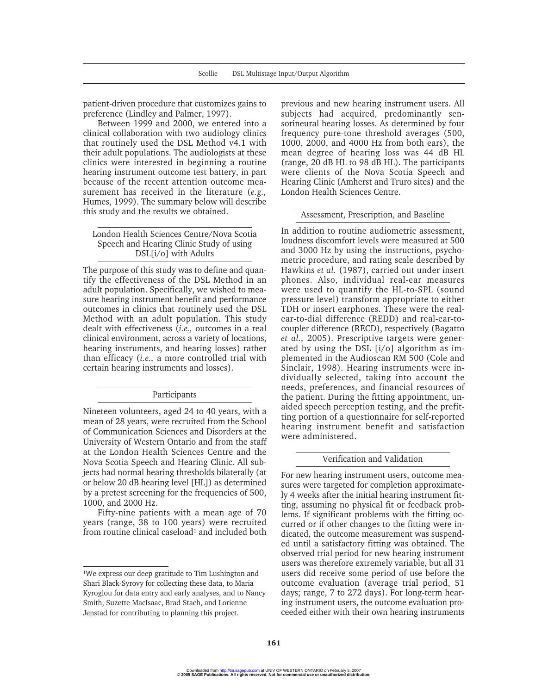patient-driven procedure that customizes gains to preference (Lindley and Palmer, 1997).

Between 1999 and 2000, we entered into a clinical collaboration with two audiology clinics that routinely used the DSL Method v4.1 with their adult populations. The audiologists at these clinics were interested in beginning a routine hearing instrument outcome test battery, in part because of the recent attention outcome measurement has received in the literature (*e.g.,* Humes, 1999). The summary below will describe this study and the results we obtained.

London Health Sciences Centre/Nova Scotia Speech and Hearing Clinic Study of using DSL[i/o] with Adults

The purpose of this study was to define and quantify the effectiveness of the DSL Method in an adult population. Specifically, we wished to measure hearing instrument benefit and performance outcomes in clinics that routinely used the DSL Method with an adult population. This study dealt with effectiveness (*i.e.,* outcomes in a real clinical environment, across a variety of locations, hearing instruments, and hearing losses) rather than efficacy (*i.e.,* a more controlled trial with certain hearing instruments and losses).

#### Participants

Nineteen volunteers, aged 24 to 40 years, with a mean of 28 years, were recruited from the School of Communication Sciences and Disorders at the University of Western Ontario and from the staff at the London Health Sciences Centre and the Nova Scotia Speech and Hearing Clinic. All subjects had normal hearing thresholds bilaterally (at or below 20 dB hearing level [HL]) as determined by a pretest screening for the frequencies of 500, 1000, and 2000 Hz.

Fifty-nine patients with a mean age of 70 years (range, 38 to 100 years) were recruited from routine clinical caseload<sup>1</sup> and included both

previous and new hearing instrument users. All subjects had acquired, predominantly sensorineural hearing losses. As determined by four frequency pure-tone threshold averages (500, 1000, 2000, and 4000 Hz from both ears), the mean degree of hearing loss was 44 dB HL (range, 20 dB HL to 98 dB HL). The participants were clients of the Nova Scotia Speech and Hearing Clinic (Amherst and Truro sites) and the London Health Sciences Centre.

Assessment, Prescription, and Baseline

In addition to routine audiometric assessment, loudness discomfort levels were measured at 500 and 3000 Hz by using the instructions, psychometric procedure, and rating scale described by Hawkins *et al.* (1987), carried out under insert phones. Also, individual real-ear measures were used to quantify the HL-to-SPL (sound pressure level) transform appropriate to either TDH or insert earphones. These were the realear-to-dial difference (REDD) and real-ear-tocoupler difference (RECD), respectively (Bagatto *et al.,* 2005). Prescriptive targets were generated by using the DSL [i/o] algorithm as implemented in the Audioscan RM 500 (Cole and Sinclair, 1998). Hearing instruments were individually selected, taking into account the needs, preferences, and financial resources of the patient. During the fitting appointment, unaided speech perception testing, and the prefitting portion of a questionnaire for self-reported hearing instrument benefit and satisfaction were administered.

#### Verification and Validation

For new hearing instrument users, outcome measures were targeted for completion approximately 4 weeks after the initial hearing instrument fitting, assuming no physical fit or feedback problems. If significant problems with the fitting occurred or if other changes to the fitting were indicated, the outcome measurement was suspended until a satisfactory fitting was obtained. The observed trial period for new hearing instrument users was therefore extremely variable, but all 31 users did receive some period of use before the outcome evaluation (average trial period, 51 days; range, 7 to 272 days). For long-term hearing instrument users, the outcome evaluation proceeded either with their own hearing instruments

<sup>1</sup>We express our deep gratitude to Tim Lushington and Shari Black-Syrovy for collecting these data, to Maria Kyroglou for data entry and early analyses, and to Nancy Smith, Suzette MacIsaac, Brad Stach, and Lorienne Jenstad for contributing to planning this project.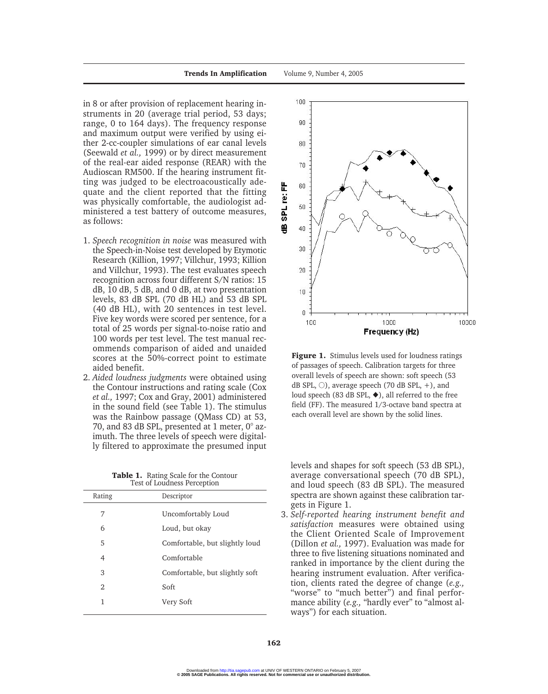in 8 or after provision of replacement hearing instruments in 20 (average trial period, 53 days; range, 0 to 164 days). The frequency response and maximum output were verified by using either 2-cc-coupler simulations of ear canal levels (Seewald *et al.,* 1999) or by direct measurement of the real-ear aided response (REAR) with the Audioscan RM500. If the hearing instrument fitting was judged to be electroacoustically adequate and the client reported that the fitting was physically comfortable, the audiologist administered a test battery of outcome measures, as follows:

- 1. *Speech recognition in noise* was measured with the Speech-in-Noise test developed by Etymotic Research (Killion, 1997; Villchur, 1993; Killion and Villchur, 1993). The test evaluates speech recognition across four different S/N ratios: 15 dB, 10 dB, 5 dB, and 0 dB, at two presentation levels, 83 dB SPL (70 dB HL) and 53 dB SPL (40 dB HL), with 20 sentences in test level. Five key words were scored per sentence, for a total of 25 words per signal-to-noise ratio and 100 words per test level. The test manual recommends comparison of aided and unaided scores at the 50%-correct point to estimate aided benefit.
- 2. *Aided loudness judgments* were obtained using the Contour instructions and rating scale (Cox *et al.,* 1997; Cox and Gray, 2001) administered in the sound field (see Table 1). The stimulus was the Rainbow passage (QMass CD) at 53, 70, and 83 dB SPL, presented at 1 meter, 0° azimuth. The three levels of speech were digitally filtered to approximate the presumed input

| Rating         | Descriptor                     |
|----------------|--------------------------------|
| 7              | Uncomfortably Loud             |
| 6              | Loud, but okay                 |
| 5              | Comfortable, but slightly loud |
| 4              | Comfortable                    |
| 3              | Comfortable, but slightly soft |
| $\mathfrak{D}$ | Soft                           |
| 1              | Very Soft                      |
|                |                                |

Table 1. Rating Scale for the Contour Test of Loudness Perception



Figure 1. Stimulus levels used for loudness ratings of passages of speech. Calibration targets for three overall levels of speech are shown: soft speech (53 dB SPL,  $\bigcirc$ ), average speech (70 dB SPL, +), and loud speech (83 dB SPL,  $\blacklozenge$ ), all referred to the free field (FF). The measured 1/3-octave band spectra at each overall level are shown by the solid lines.

levels and shapes for soft speech (53 dB SPL), average conversational speech (70 dB SPL), and loud speech (83 dB SPL). The measured spectra are shown against these calibration targets in Figure 1.

3. *Self-reported hearing instrument benefit and satisfaction* measures were obtained using the Client Oriented Scale of Improvement (Dillon *et al.,* 1997). Evaluation was made for three to five listening situations nominated and ranked in importance by the client during the hearing instrument evaluation. After verification, clients rated the degree of change (*e.g.,* "worse" to "much better") and final performance ability (*e.g.,* "hardly ever" to "almost always") for each situation.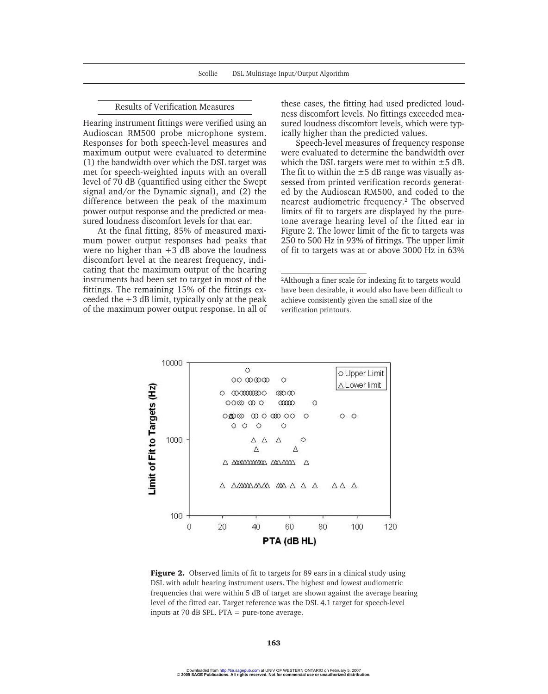#### Results of Verification Measures

Hearing instrument fittings were verified using an Audioscan RM500 probe microphone system. Responses for both speech-level measures and maximum output were evaluated to determine (1) the bandwidth over which the DSL target was met for speech-weighted inputs with an overall level of 70 dB (quantified using either the Swept signal and/or the Dynamic signal), and (2) the difference between the peak of the maximum power output response and the predicted or measured loudness discomfort levels for that ear.

At the final fitting, 85% of measured maximum power output responses had peaks that were no higher than  $+3$  dB above the loudness discomfort level at the nearest frequency, indicating that the maximum output of the hearing instruments had been set to target in most of the fittings. The remaining 15% of the fittings exceeded the  $+3$  dB limit, typically only at the peak of the maximum power output response. In all of these cases, the fitting had used predicted loudness discomfort levels. No fittings exceeded measured loudness discomfort levels, which were typically higher than the predicted values.

Speech-level measures of frequency response were evaluated to determine the bandwidth over which the DSL targets were met to within  $\pm$  5 dB. The fit to within the  $\pm$ 5 dB range was visually assessed from printed verification records generated by the Audioscan RM500, and coded to the nearest audiometric frequency.<sup>2</sup> The observed limits of fit to targets are displayed by the puretone average hearing level of the fitted ear in Figure 2. The lower limit of the fit to targets was 250 to 500 Hz in 93% of fittings. The upper limit of fit to targets was at or above 3000 Hz in 63%



Figure 2. Observed limits of fit to targets for 89 ears in a clinical study using DSL with adult hearing instrument users. The highest and lowest audiometric frequencies that were within 5 dB of target are shown against the average hearing level of the fitted ear. Target reference was the DSL 4.1 target for speech-level inputs at 70 dB SPL. PTA = pure-tone average.

<sup>2</sup>Although a finer scale for indexing fit to targets would have been desirable, it would also have been difficult to achieve consistently given the small size of the verification printouts.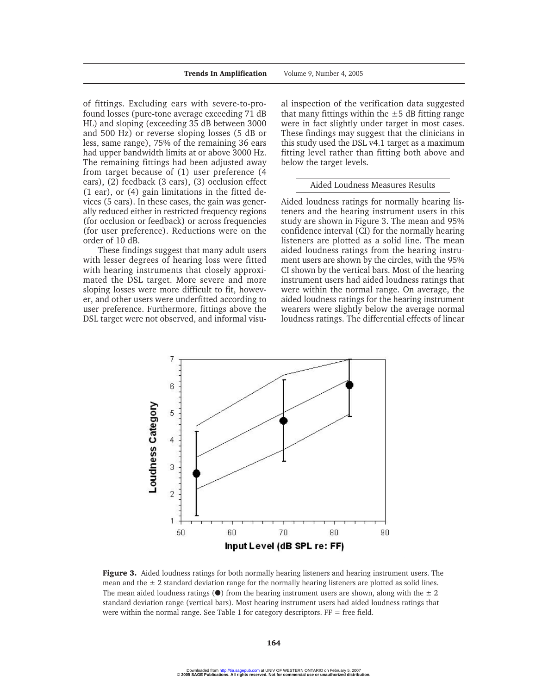of fittings. Excluding ears with severe-to-profound losses (pure-tone average exceeding 71 dB HL) and sloping (exceeding 35 dB between 3000 and 500 Hz) or reverse sloping losses (5 dB or less, same range), 75% of the remaining 36 ears had upper bandwidth limits at or above 3000 Hz. The remaining fittings had been adjusted away from target because of (1) user preference (4 ears), (2) feedback (3 ears), (3) occlusion effect (1 ear), or (4) gain limitations in the fitted devices (5 ears). In these cases, the gain was generally reduced either in restricted frequency regions (for occlusion or feedback) or across frequencies (for user preference). Reductions were on the order of 10 dB.

These findings suggest that many adult users with lesser degrees of hearing loss were fitted with hearing instruments that closely approximated the DSL target. More severe and more sloping losses were more difficult to fit, however, and other users were underfitted according to user preference. Furthermore, fittings above the DSL target were not observed, and informal visual inspection of the verification data suggested that many fittings within the  $\pm$ 5 dB fitting range were in fact slightly under target in most cases. These findings may suggest that the clinicians in this study used the DSL v4.1 target as a maximum fitting level rather than fitting both above and below the target levels.

#### Aided Loudness Measures Results

Aided loudness ratings for normally hearing listeners and the hearing instrument users in this study are shown in Figure 3. The mean and 95% confidence interval (CI) for the normally hearing listeners are plotted as a solid line. The mean aided loudness ratings from the hearing instrument users are shown by the circles, with the 95% CI shown by the vertical bars. Most of the hearing instrument users had aided loudness ratings that were within the normal range. On average, the aided loudness ratings for the hearing instrument wearers were slightly below the average normal loudness ratings. The differential effects of linear



Figure 3. Aided loudness ratings for both normally hearing listeners and hearing instrument users. The mean and the  $\pm$  2 standard deviation range for the normally hearing listeners are plotted as solid lines. The mean aided loudness ratings ( $\bullet$ ) from the hearing instrument users are shown, along with the  $\pm$  2 standard deviation range (vertical bars). Most hearing instrument users had aided loudness ratings that were within the normal range. See Table 1 for category descriptors.  $FF = free field$ .

#### 164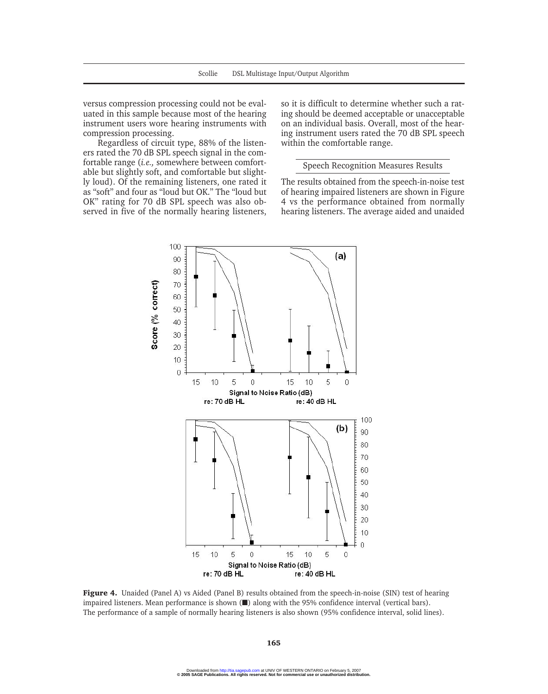versus compression processing could not be evaluated in this sample because most of the hearing instrument users wore hearing instruments with compression processing.

Regardless of circuit type, 88% of the listeners rated the 70 dB SPL speech signal in the comfortable range (*i.e.,* somewhere between comfortable but slightly soft, and comfortable but slightly loud). Of the remaining listeners, one rated it as "soft" and four as "loud but OK." The "loud but OK" rating for 70 dB SPL speech was also observed in five of the normally hearing listeners,

so it is difficult to determine whether such a rating should be deemed acceptable or unacceptable on an individual basis. Overall, most of the hearing instrument users rated the 70 dB SPL speech within the comfortable range.

#### Speech Recognition Measures Results

The results obtained from the speech-in-noise test of hearing impaired listeners are shown in Figure 4 vs the performance obtained from normally hearing listeners. The average aided and unaided



Figure 4. Unaided (Panel A) vs Aided (Panel B) results obtained from the speech-in-noise (SIN) test of hearing impaired listeners. Mean performance is shown (■) along with the 95% confidence interval (vertical bars). The performance of a sample of normally hearing listeners is also shown (95% confidence interval, solid lines).

#### 165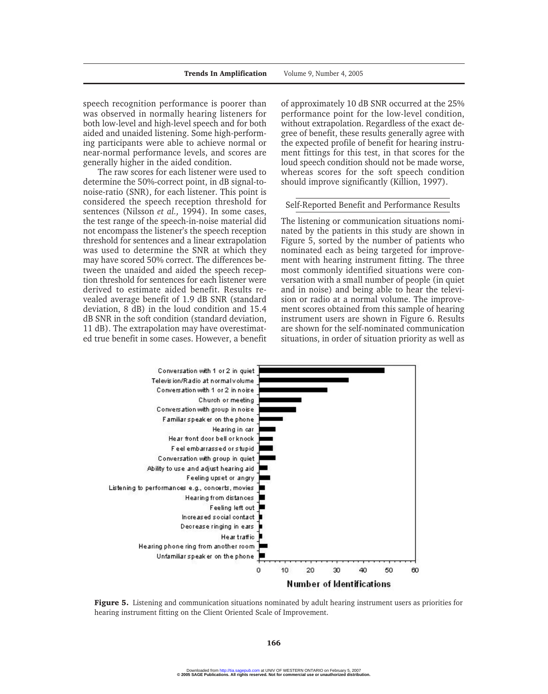speech recognition performance is poorer than was observed in normally hearing listeners for both low-level and high-level speech and for both aided and unaided listening. Some high-performing participants were able to achieve normal or near-normal performance levels, and scores are generally higher in the aided condition.

The raw scores for each listener were used to determine the 50%-correct point, in dB signal-tonoise-ratio (SNR), for each listener. This point is considered the speech reception threshold for sentences (Nilsson *et al.,* 1994). In some cases, the test range of the speech-in-noise material did not encompass the listener's the speech reception threshold for sentences and a linear extrapolation was used to determine the SNR at which they may have scored 50% correct. The differences between the unaided and aided the speech reception threshold for sentences for each listener were derived to estimate aided benefit. Results revealed average benefit of 1.9 dB SNR (standard deviation, 8 dB) in the loud condition and 15.4 dB SNR in the soft condition (standard deviation, 11 dB). The extrapolation may have overestimated true benefit in some cases. However, a benefit

of approximately 10 dB SNR occurred at the 25% performance point for the low-level condition, without extrapolation. Regardless of the exact degree of benefit, these results generally agree with the expected profile of benefit for hearing instrument fittings for this test, in that scores for the loud speech condition should not be made worse, whereas scores for the soft speech condition should improve significantly (Killion, 1997).

#### Self-Reported Benefit and Performance Results

The listening or communication situations nominated by the patients in this study are shown in Figure 5, sorted by the number of patients who nominated each as being targeted for improvement with hearing instrument fitting. The three most commonly identified situations were conversation with a small number of people (in quiet and in noise) and being able to hear the television or radio at a normal volume. The improvement scores obtained from this sample of hearing instrument users are shown in Figure 6. Results are shown for the self-nominated communication situations, in order of situation priority as well as



Figure 5. Listening and communication situations nominated by adult hearing instrument users as priorities for hearing instrument fitting on the Client Oriented Scale of Improvement.

#### 166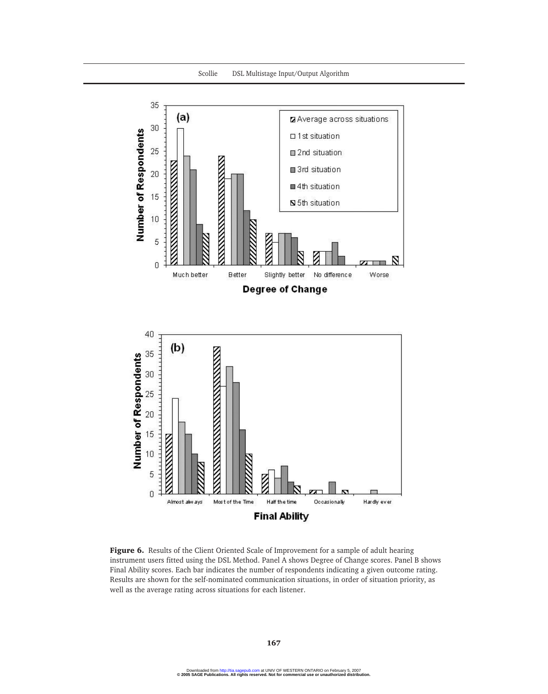

Figure 6. Results of the Client Oriented Scale of Improvement for a sample of adult hearing instrument users fitted using the DSL Method. Panel A shows Degree of Change scores. Panel B shows Final Ability scores. Each bar indicates the number of respondents indicating a given outcome rating. Results are shown for the self-nominated communication situations, in order of situation priority, as well as the average rating across situations for each listener.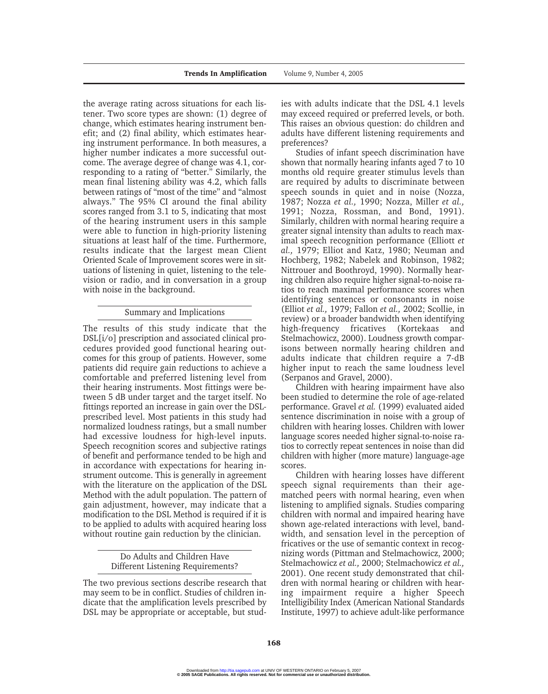the average rating across situations for each listener. Two score types are shown: (1) degree of change, which estimates hearing instrument benefit; and (2) final ability, which estimates hearing instrument performance. In both measures, a higher number indicates a more successful outcome. The average degree of change was 4.1, corresponding to a rating of "better." Similarly, the mean final listening ability was 4.2, which falls between ratings of "most of the time" and "almost always." The 95% CI around the final ability scores ranged from 3.1 to 5, indicating that most of the hearing instrument users in this sample were able to function in high-priority listening situations at least half of the time. Furthermore, results indicate that the largest mean Client Oriented Scale of Improvement scores were in situations of listening in quiet, listening to the television or radio, and in conversation in a group with noise in the background.

#### Summary and Implications

The results of this study indicate that the DSL[i/o] prescription and associated clinical procedures provided good functional hearing outcomes for this group of patients. However, some patients did require gain reductions to achieve a comfortable and preferred listening level from their hearing instruments. Most fittings were between 5 dB under target and the target itself. No fittings reported an increase in gain over the DSLprescribed level. Most patients in this study had normalized loudness ratings, but a small number had excessive loudness for high-level inputs. Speech recognition scores and subjective ratings of benefit and performance tended to be high and in accordance with expectations for hearing instrument outcome. This is generally in agreement with the literature on the application of the DSL Method with the adult population. The pattern of gain adjustment, however, may indicate that a modification to the DSL Method is required if it is to be applied to adults with acquired hearing loss without routine gain reduction by the clinician.

# Do Adults and Children Have Different Listening Requirements?

The two previous sections describe research that may seem to be in conflict. Studies of children indicate that the amplification levels prescribed by DSL may be appropriate or acceptable, but studies with adults indicate that the DSL 4.1 levels may exceed required or preferred levels, or both. This raises an obvious question: do children and adults have different listening requirements and preferences?

Studies of infant speech discrimination have shown that normally hearing infants aged 7 to 10 months old require greater stimulus levels than are required by adults to discriminate between speech sounds in quiet and in noise (Nozza, 1987; Nozza *et al.,* 1990; Nozza, Miller *et al.,* 1991; Nozza, Rossman, and Bond, 1991). Similarly, children with normal hearing require a greater signal intensity than adults to reach maximal speech recognition performance (Elliott *et al.,* 1979; Elliot and Katz, 1980; Neuman and Hochberg, 1982; Nabelek and Robinson, 1982; Nittrouer and Boothroyd, 1990). Normally hearing children also require higher signal-to-noise ratios to reach maximal performance scores when identifying sentences or consonants in noise (Elliot *et al.,* 1979; Fallon *et al.,* 2002; Scollie, in review) or a broader bandwidth when identifying high-frequency fricatives (Kortekaas and Stelmachowicz, 2000). Loudness growth comparisons between normally hearing children and adults indicate that children require a 7-dB higher input to reach the same loudness level (Serpanos and Gravel, 2000).

Children with hearing impairment have also been studied to determine the role of age-related performance. Gravel *et al.* (1999) evaluated aided sentence discrimination in noise with a group of children with hearing losses. Children with lower language scores needed higher signal-to-noise ratios to correctly repeat sentences in noise than did children with higher (more mature) language-age scores.

Children with hearing losses have different speech signal requirements than their agematched peers with normal hearing, even when listening to amplified signals. Studies comparing children with normal and impaired hearing have shown age-related interactions with level, bandwidth, and sensation level in the perception of fricatives or the use of semantic context in recognizing words (Pittman and Stelmachowicz, 2000; Stelmachowicz *et al.,* 2000; Stelmachowicz *et al.,* 2001). One recent study demonstrated that children with normal hearing or children with hearing impairment require a higher Speech Intelligibility Index (American National Standards Institute, 1997) to achieve adult-like performance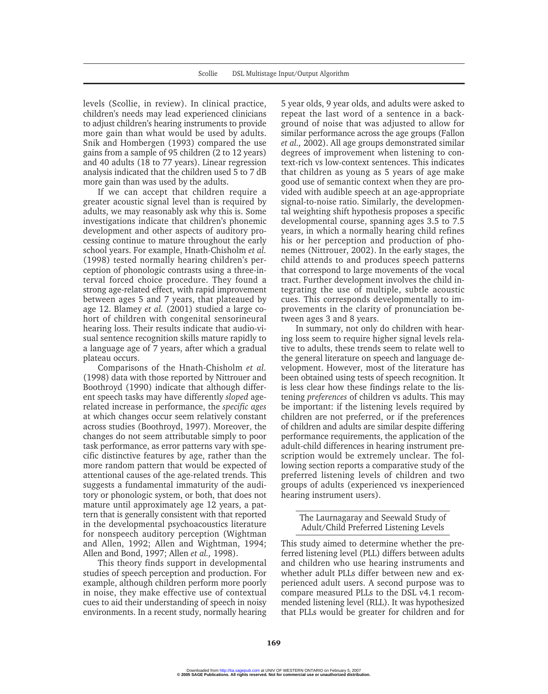levels (Scollie, in review). In clinical practice, children's needs may lead experienced clinicians to adjust children's hearing instruments to provide more gain than what would be used by adults. Snik and Hombergen (1993) compared the use gains from a sample of 95 children (2 to 12 years) and 40 adults (18 to 77 years). Linear regression analysis indicated that the children used 5 to 7 dB more gain than was used by the adults.

If we can accept that children require a greater acoustic signal level than is required by adults, we may reasonably ask why this is. Some investigations indicate that children's phonemic development and other aspects of auditory processing continue to mature throughout the early school years. For example, Hnath-Chisholm *et al.* (1998) tested normally hearing children's perception of phonologic contrasts using a three-interval forced choice procedure. They found a strong age-related effect, with rapid improvement between ages 5 and 7 years, that plateaued by age 12. Blamey *et al.* (2001) studied a large cohort of children with congenital sensorineural hearing loss. Their results indicate that audio-visual sentence recognition skills mature rapidly to a language age of 7 years, after which a gradual plateau occurs.

Comparisons of the Hnath-Chisholm *et al.* (1998) data with those reported by Nittrouer and Boothroyd (1990) indicate that although different speech tasks may have differently *sloped* agerelated increase in performance, the *specific ages* at which changes occur seem relatively constant across studies (Boothroyd, 1997). Moreover, the changes do not seem attributable simply to poor task performance, as error patterns vary with specific distinctive features by age, rather than the more random pattern that would be expected of attentional causes of the age-related trends. This suggests a fundamental immaturity of the auditory or phonologic system, or both, that does not mature until approximately age 12 years, a pattern that is generally consistent with that reported in the developmental psychoacoustics literature for nonspeech auditory perception (Wightman and Allen, 1992; Allen and Wightman, 1994; Allen and Bond, 1997; Allen *et al.,* 1998).

This theory finds support in developmental studies of speech perception and production. For example, although children perform more poorly in noise, they make effective use of contextual cues to aid their understanding of speech in noisy environments. In a recent study, normally hearing

5 year olds, 9 year olds, and adults were asked to repeat the last word of a sentence in a background of noise that was adjusted to allow for similar performance across the age groups (Fallon *et al.,* 2002). All age groups demonstrated similar degrees of improvement when listening to context-rich vs low-context sentences. This indicates that children as young as 5 years of age make good use of semantic context when they are provided with audible speech at an age-appropriate signal-to-noise ratio. Similarly, the developmental weighting shift hypothesis proposes a specific developmental course, spanning ages 3.5 to 7.5 years, in which a normally hearing child refines his or her perception and production of phonemes (Nittrouer, 2002). In the early stages, the child attends to and produces speech patterns that correspond to large movements of the vocal tract. Further development involves the child integrating the use of multiple, subtle acoustic cues. This corresponds developmentally to improvements in the clarity of pronunciation between ages 3 and 8 years.

In summary, not only do children with hearing loss seem to require higher signal levels relative to adults, these trends seem to relate well to the general literature on speech and language development. However, most of the literature has been obtained using tests of speech recognition. It is less clear how these findings relate to the listening *preferences* of children vs adults. This may be important: if the listening levels required by children are not preferred, or if the preferences of children and adults are similar despite differing performance requirements, the application of the adult-child differences in hearing instrument prescription would be extremely unclear. The following section reports a comparative study of the preferred listening levels of children and two groups of adults (experienced vs inexperienced hearing instrument users).

The Laurnagaray and Seewald Study of Adult/Child Preferred Listening Levels

This study aimed to determine whether the preferred listening level (PLL) differs between adults and children who use hearing instruments and whether adult PLLs differ between new and experienced adult users. A second purpose was to compare measured PLLs to the DSL v4.1 recommended listening level (RLL). It was hypothesized that PLLs would be greater for children and for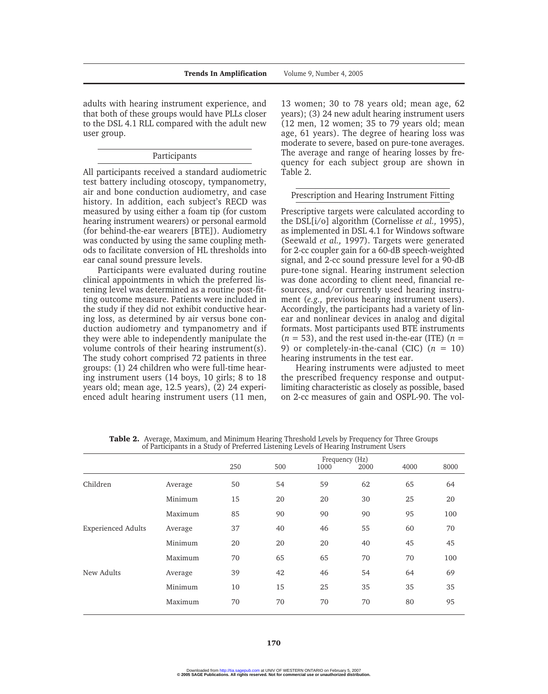adults with hearing instrument experience, and that both of these groups would have PLLs closer to the DSL 4.1 RLL compared with the adult new user group.

#### Participants

All participants received a standard audiometric test battery including otoscopy, tympanometry, air and bone conduction audiometry, and case history. In addition, each subject's RECD was measured by using either a foam tip (for custom hearing instrument wearers) or personal earmold (for behind-the-ear wearers [BTE]). Audiometry was conducted by using the same coupling methods to facilitate conversion of HL thresholds into ear canal sound pressure levels.

Participants were evaluated during routine clinical appointments in which the preferred listening level was determined as a routine post-fitting outcome measure. Patients were included in the study if they did not exhibit conductive hearing loss, as determined by air versus bone conduction audiometry and tympanometry and if they were able to independently manipulate the volume controls of their hearing instrument(s). The study cohort comprised 72 patients in three groups: (1) 24 children who were full-time hearing instrument users (14 boys, 10 girls; 8 to 18 years old; mean age, 12.5 years), (2) 24 experienced adult hearing instrument users (11 men,

13 women; 30 to 78 years old; mean age, 62 years); (3) 24 new adult hearing instrument users (12 men, 12 women; 35 to 79 years old; mean age, 61 years). The degree of hearing loss was moderate to severe, based on pure-tone averages. The average and range of hearing losses by frequency for each subject group are shown in Table 2.

#### Prescription and Hearing Instrument Fitting

Prescriptive targets were calculated according to the DSL[i/o] algorithm (Cornelisse *et al.,* 1995), as implemented in DSL 4.1 for Windows software (Seewald *et al.,* 1997). Targets were generated for 2-cc coupler gain for a 60-dB speech-weighted signal, and 2-cc sound pressure level for a 90-dB pure-tone signal. Hearing instrument selection was done according to client need, financial resources, and/or currently used hearing instrument (*e.g.,* previous hearing instrument users). Accordingly, the participants had a variety of linear and nonlinear devices in analog and digital formats. Most participants used BTE instruments  $(n = 53)$ , and the rest used in-the-ear (ITE)  $(n = 53)$ 9) or completely-in-the-canal (CIC)  $(n = 10)$ hearing instruments in the test ear.

Hearing instruments were adjusted to meet the prescribed frequency response and outputlimiting characteristic as closely as possible, based on 2-cc measures of gain and OSPL-90. The vol-

|                           |         | Frequency (Hz) |     |      |      |      |      |  |
|---------------------------|---------|----------------|-----|------|------|------|------|--|
|                           |         | 250            | 500 | 1000 | 2000 | 4000 | 8000 |  |
| Children                  | Average | 50             | 54  | 59   | 62   | 65   | 64   |  |
|                           | Minimum | 15             | 20  | 20   | 30   | 25   | 20   |  |
|                           | Maximum | 85             | 90  | 90   | 90   | 95   | 100  |  |
| <b>Experienced Adults</b> | Average | 37             | 40  | 46   | 55   | 60   | 70   |  |
|                           | Minimum | 20             | 20  | 20   | 40   | 45   | 45   |  |
|                           | Maximum | 70             | 65  | 65   | 70   | 70   | 100  |  |
| New Adults                | Average | 39             | 42  | 46   | 54   | 64   | 69   |  |
|                           | Minimum | 10             | 15  | 25   | 35   | 35   | 35   |  |
|                           | Maximum | 70             | 70  | 70   | 70   | 80   | 95   |  |

Table 2. Average, Maximum, and Minimum Hearing Threshold Levels by Frequency for Three Groups of Participants in a Study of Preferred Listening Levels of Hearing Instrument Users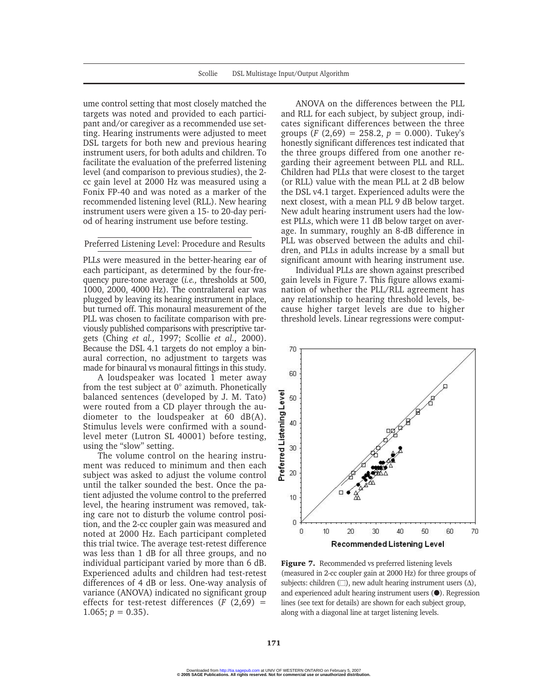ume control setting that most closely matched the targets was noted and provided to each participant and/or caregiver as a recommended use setting. Hearing instruments were adjusted to meet DSL targets for both new and previous hearing instrument users, for both adults and children. To facilitate the evaluation of the preferred listening level (and comparison to previous studies), the 2 cc gain level at 2000 Hz was measured using a Fonix FP-40 and was noted as a marker of the recommended listening level (RLL). New hearing instrument users were given a 15- to 20-day period of hearing instrument use before testing.

#### Preferred Listening Level: Procedure and Results

PLLs were measured in the better-hearing ear of each participant, as determined by the four-frequency pure-tone average (*i.e.,* thresholds at 500, 1000, 2000, 4000 Hz). The contralateral ear was plugged by leaving its hearing instrument in place, but turned off. This monaural measurement of the PLL was chosen to facilitate comparison with previously published comparisons with prescriptive targets (Ching *et al.,* 1997; Scollie *et al.,* 2000). Because the DSL 4.1 targets do not employ a binaural correction, no adjustment to targets was made for binaural vs monaural fittings in this study.

A loudspeaker was located 1 meter away from the test subject at 0° azimuth. Phonetically balanced sentences (developed by J. M. Tato) were routed from a CD player through the audiometer to the loudspeaker at 60 dB(A). Stimulus levels were confirmed with a soundlevel meter (Lutron SL 40001) before testing, using the "slow" setting.

The volume control on the hearing instrument was reduced to minimum and then each subject was asked to adjust the volume control until the talker sounded the best. Once the patient adjusted the volume control to the preferred level, the hearing instrument was removed, taking care not to disturb the volume control position, and the 2-cc coupler gain was measured and noted at 2000 Hz. Each participant completed this trial twice. The average test-retest difference was less than 1 dB for all three groups, and no individual participant varied by more than 6 dB. Experienced adults and children had test-retest differences of 4 dB or less. One-way analysis of variance (ANOVA) indicated no significant group effects for test-retest differences  $(F (2,69) =$ 1.065;  $p = 0.35$ ).

ANOVA on the differences between the PLL and RLL for each subject, by subject group, indicates significant differences between the three groups  $(F(2,69) = 258.2, p = 0.000)$ . Tukey's honestly significant differences test indicated that the three groups differed from one another regarding their agreement between PLL and RLL. Children had PLLs that were closest to the target (or RLL) value with the mean PLL at 2 dB below the DSL v4.1 target. Experienced adults were the next closest, with a mean PLL 9 dB below target. New adult hearing instrument users had the lowest PLLs, which were 11 dB below target on average. In summary, roughly an 8-dB difference in PLL was observed between the adults and children, and PLLs in adults increase by a small but significant amount with hearing instrument use.

Individual PLLs are shown against prescribed gain levels in Figure 7. This figure allows examination of whether the PLL/RLL agreement has any relationship to hearing threshold levels, because higher target levels are due to higher threshold levels. Linear regressions were comput-



Figure 7. Recommended vs preferred listening levels (measured in 2-cc coupler gain at 2000 Hz) for three groups of subjects: children  $\Box$ ), new adult hearing instrument users  $(\Delta)$ , and experienced adult hearing instrument users (●). Regression lines (see text for details) are shown for each subject group, along with a diagonal line at target listening levels.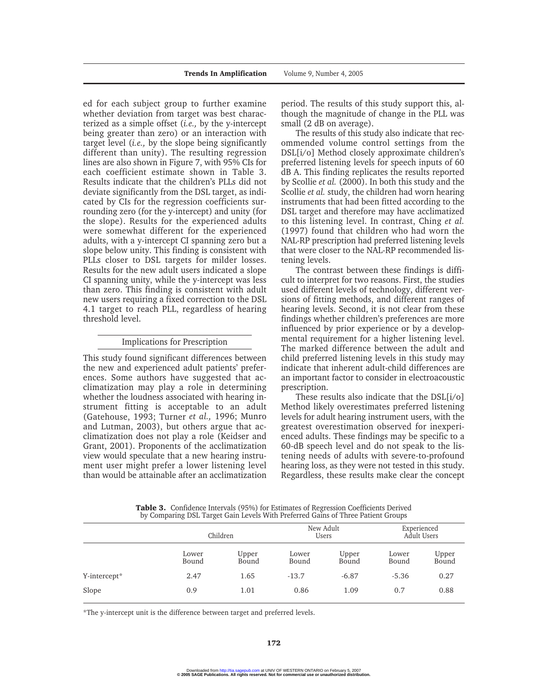ed for each subject group to further examine whether deviation from target was best characterized as a simple offset (*i.e.,* by the y-intercept being greater than zero) or an interaction with target level (*i.e.,* by the slope being significantly different than unity). The resulting regression lines are also shown in Figure 7, with 95% CIs for each coefficient estimate shown in Table 3. Results indicate that the children's PLLs did not deviate significantly from the DSL target, as indicated by CIs for the regression coefficients surrounding zero (for the y-intercept) and unity (for the slope). Results for the experienced adults were somewhat different for the experienced adults, with a y-intercept CI spanning zero but a slope below unity. This finding is consistent with PLLs closer to DSL targets for milder losses. Results for the new adult users indicated a slope CI spanning unity, while the y-intercept was less than zero. This finding is consistent with adult new users requiring a fixed correction to the DSL 4.1 target to reach PLL, regardless of hearing threshold level.

#### Implications for Prescription

This study found significant differences between the new and experienced adult patients' preferences. Some authors have suggested that acclimatization may play a role in determining whether the loudness associated with hearing instrument fitting is acceptable to an adult (Gatehouse, 1993; Turner *et al.,* 1996; Munro and Lutman, 2003), but others argue that acclimatization does not play a role (Keidser and Grant, 2001). Proponents of the acclimatization view would speculate that a new hearing instrument user might prefer a lower listening level than would be attainable after an acclimatization

period. The results of this study support this, although the magnitude of change in the PLL was small (2 dB on average).

The results of this study also indicate that recommended volume control settings from the DSL[i/o] Method closely approximate children's preferred listening levels for speech inputs of 60 dB A. This finding replicates the results reported by Scollie *et al.* (2000). In both this study and the Scollie *et al.* study, the children had worn hearing instruments that had been fitted according to the DSL target and therefore may have acclimatized to this listening level. In contrast, Ching *et al.* (1997) found that children who had worn the NAL-RP prescription had preferred listening levels that were closer to the NAL-RP recommended listening levels.

The contrast between these findings is difficult to interpret for two reasons. First, the studies used different levels of technology, different versions of fitting methods, and different ranges of hearing levels. Second, it is not clear from these findings whether children's preferences are more influenced by prior experience or by a developmental requirement for a higher listening level. The marked difference between the adult and child preferred listening levels in this study may indicate that inherent adult-child differences are an important factor to consider in electroacoustic prescription.

These results also indicate that the DSL[i/o] Method likely overestimates preferred listening levels for adult hearing instrument users, with the greatest overestimation observed for inexperienced adults. These findings may be specific to a 60-dB speech level and do not speak to the listening needs of adults with severe-to-profound hearing loss, as they were not tested in this study. Regardless, these results make clear the concept

| Dy Comparing DSL Target Gain Levels With Preferred Gains of Three Patient Groups |                |                |                |                |                            |                |  |  |
|----------------------------------------------------------------------------------|----------------|----------------|----------------|----------------|----------------------------|----------------|--|--|
|                                                                                  | Children       |                | New Adult      | Users          | Experienced<br>Adult Users |                |  |  |
|                                                                                  | Lower<br>Bound | Upper<br>Bound | Lower<br>Bound | Upper<br>Bound | Lower<br>Bound             | Upper<br>Bound |  |  |
| Y-intercept*                                                                     | 2.47           | 1.65           | $-13.7$        | $-6.87$        | $-5.36$                    | 0.27           |  |  |
| Slope                                                                            | 0.9            | 1.01           | 0.86           | 1.09           | 0.7                        | 0.88           |  |  |
|                                                                                  |                |                |                |                |                            |                |  |  |

Table 3. Confidence Intervals (95%) for Estimates of Regression Coefficients Derived

\*The y-intercept unit is the difference between target and preferred levels.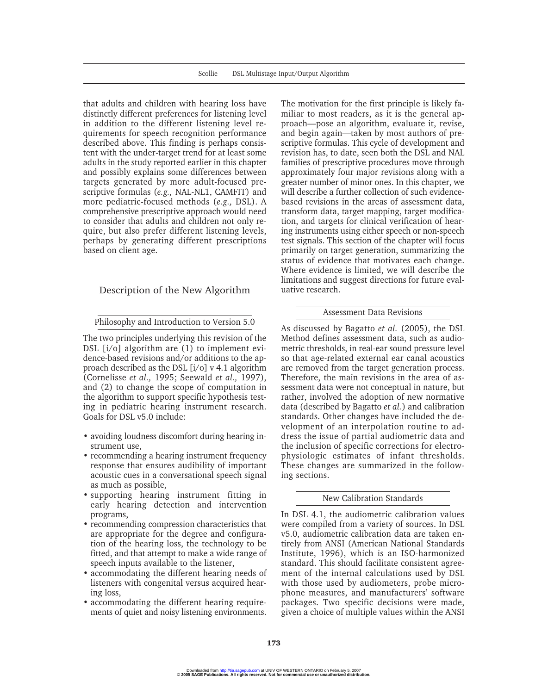that adults and children with hearing loss have distinctly different preferences for listening level in addition to the different listening level requirements for speech recognition performance described above. This finding is perhaps consistent with the under-target trend for at least some adults in the study reported earlier in this chapter and possibly explains some differences between targets generated by more adult-focused prescriptive formulas (*e.g.,* NAL-NL1, CAMFIT) and more pediatric-focused methods (*e.g.,* DSL). A comprehensive prescriptive approach would need to consider that adults and children not only require, but also prefer different listening levels, perhaps by generating different prescriptions based on client age.

# Description of the New Algorithm

Philosophy and Introduction to Version 5.0

The two principles underlying this revision of the DSL [i/o] algorithm are (1) to implement evidence-based revisions and/or additions to the approach described as the DSL  $[i/O]$  v 4.1 algorithm (Cornelisse *et al.,* 1995; Seewald *et al.,* 1997), and (2) to change the scope of computation in the algorithm to support specific hypothesis testing in pediatric hearing instrument research. Goals for DSL v5.0 include:

- avoiding loudness discomfort during hearing instrument use,
- recommending a hearing instrument frequency response that ensures audibility of important acoustic cues in a conversational speech signal as much as possible,
- supporting hearing instrument fitting in early hearing detection and intervention programs,
- recommending compression characteristics that are appropriate for the degree and configuration of the hearing loss, the technology to be fitted, and that attempt to make a wide range of speech inputs available to the listener,
- accommodating the different hearing needs of listeners with congenital versus acquired hearing loss,
- accommodating the different hearing requirements of quiet and noisy listening environments.

The motivation for the first principle is likely familiar to most readers, as it is the general approach—pose an algorithm, evaluate it, revise, and begin again—taken by most authors of prescriptive formulas. This cycle of development and revision has, to date, seen both the DSL and NAL families of prescriptive procedures move through approximately four major revisions along with a greater number of minor ones. In this chapter, we will describe a further collection of such evidencebased revisions in the areas of assessment data, transform data, target mapping, target modification, and targets for clinical verification of hearing instruments using either speech or non-speech test signals. This section of the chapter will focus primarily on target generation, summarizing the status of evidence that motivates each change. Where evidence is limited, we will describe the limitations and suggest directions for future evaluative research.

#### Assessment Data Revisions

As discussed by Bagatto *et al.* (2005), the DSL Method defines assessment data, such as audiometric thresholds, in real-ear sound pressure level so that age-related external ear canal acoustics are removed from the target generation process. Therefore, the main revisions in the area of assessment data were not conceptual in nature, but rather, involved the adoption of new normative data (described by Bagatto *et al.*) and calibration standards. Other changes have included the development of an interpolation routine to address the issue of partial audiometric data and the inclusion of specific corrections for electrophysiologic estimates of infant thresholds. These changes are summarized in the following sections.

#### New Calibration Standards

In DSL 4.1, the audiometric calibration values were compiled from a variety of sources. In DSL v5.0, audiometric calibration data are taken entirely from ANSI (American National Standards Institute, 1996), which is an ISO-harmonized standard. This should facilitate consistent agreement of the internal calculations used by DSL with those used by audiometers, probe microphone measures, and manufacturers' software packages. Two specific decisions were made, given a choice of multiple values within the ANSI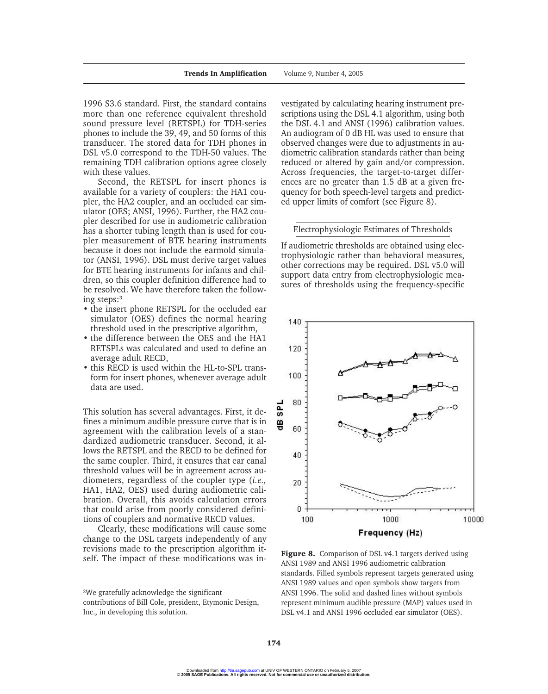1996 S3.6 standard. First, the standard contains more than one reference equivalent threshold sound pressure level (RETSPL) for TDH-series phones to include the 39, 49, and 50 forms of this transducer. The stored data for TDH phones in DSL v5.0 correspond to the TDH-50 values. The remaining TDH calibration options agree closely with these values.

Second, the RETSPL for insert phones is available for a variety of couplers: the HA1 coupler, the HA2 coupler, and an occluded ear simulator (OES; ANSI, 1996). Further, the HA2 coupler described for use in audiometric calibration has a shorter tubing length than is used for coupler measurement of BTE hearing instruments because it does not include the earmold simulator (ANSI, 1996). DSL must derive target values for BTE hearing instruments for infants and children, so this coupler definition difference had to be resolved. We have therefore taken the following steps:3

- the insert phone RETSPL for the occluded ear simulator (OES) defines the normal hearing threshold used in the prescriptive algorithm,
- the difference between the OES and the HA1 RETSPLs was calculated and used to define an average adult RECD,
- this RECD is used within the HL-to-SPL transform for insert phones, whenever average adult data are used.

This solution has several advantages. First, it defines a minimum audible pressure curve that is in agreement with the calibration levels of a standardized audiometric transducer. Second, it allows the RETSPL and the RECD to be defined for the same coupler. Third, it ensures that ear canal threshold values will be in agreement across audiometers, regardless of the coupler type (*i.e.,* HA1, HA2, OES) used during audiometric calibration. Overall, this avoids calculation errors that could arise from poorly considered definitions of couplers and normative RECD values.

Clearly, these modifications will cause some change to the DSL targets independently of any revisions made to the prescription algorithm itself. The impact of these modifications was in-

3We gratefully acknowledge the significant contributions of Bill Cole, president, Etymonic Design, Inc., in developing this solution.

vestigated by calculating hearing instrument prescriptions using the DSL 4.1 algorithm, using both the DSL 4.1 and ANSI (1996) calibration values. An audiogram of 0 dB HL was used to ensure that observed changes were due to adjustments in audiometric calibration standards rather than being reduced or altered by gain and/or compression. Across frequencies, the target-to-target differences are no greater than 1.5 dB at a given frequency for both speech-level targets and predicted upper limits of comfort (see Figure 8).

#### Electrophysiologic Estimates of Thresholds

If audiometric thresholds are obtained using electrophysiologic rather than behavioral measures, other corrections may be required. DSL v5.0 will support data entry from electrophysiologic measures of thresholds using the frequency-specific



Figure 8. Comparison of DSL v4.1 targets derived using ANSI 1989 and ANSI 1996 audiometric calibration standards. Filled symbols represent targets generated using ANSI 1989 values and open symbols show targets from ANSI 1996. The solid and dashed lines without symbols represent minimum audible pressure (MAP) values used in DSL v4.1 and ANSI 1996 occluded ear simulator (OES).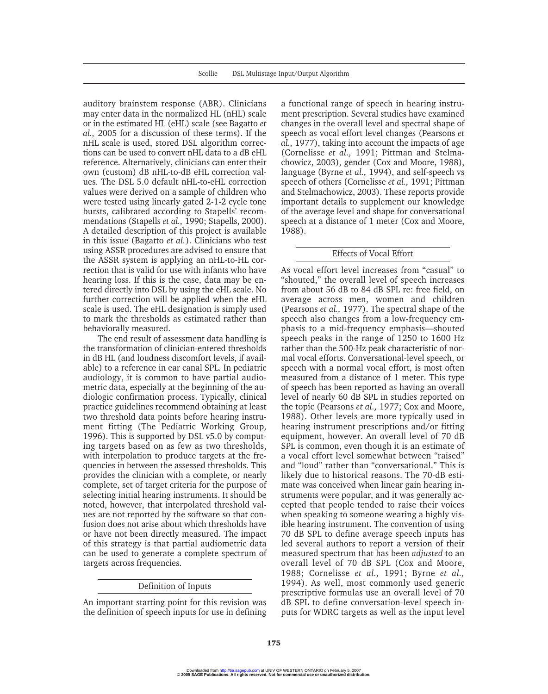auditory brainstem response (ABR). Clinicians may enter data in the normalized HL (nHL) scale or in the estimated HL (eHL) scale (see Bagatto *et al.,* 2005 for a discussion of these terms). If the nHL scale is used, stored DSL algorithm corrections can be used to convert nHL data to a dB eHL reference. Alternatively, clinicians can enter their own (custom) dB nHL-to-dB eHL correction values. The DSL 5.0 default nHL-to-eHL correction values were derived on a sample of children who were tested using linearly gated 2-1-2 cycle tone bursts, calibrated according to Stapells' recommendations (Stapells *et al.,* 1990; Stapells, 2000). A detailed description of this project is available in this issue (Bagatto *et al.*). Clinicians who test using ASSR procedures are advised to ensure that the ASSR system is applying an nHL-to-HL correction that is valid for use with infants who have hearing loss. If this is the case, data may be entered directly into DSL by using the eHL scale. No further correction will be applied when the eHL scale is used. The eHL designation is simply used to mark the thresholds as estimated rather than behaviorally measured.

The end result of assessment data handling is the transformation of clinician-entered thresholds in dB HL (and loudness discomfort levels, if available) to a reference in ear canal SPL. In pediatric audiology, it is common to have partial audiometric data, especially at the beginning of the audiologic confirmation process. Typically, clinical practice guidelines recommend obtaining at least two threshold data points before hearing instrument fitting (The Pediatric Working Group, 1996). This is supported by DSL v5.0 by computing targets based on as few as two thresholds, with interpolation to produce targets at the frequencies in between the assessed thresholds. This provides the clinician with a complete, or nearly complete, set of target criteria for the purpose of selecting initial hearing instruments. It should be noted, however, that interpolated threshold values are not reported by the software so that confusion does not arise about which thresholds have or have not been directly measured. The impact of this strategy is that partial audiometric data can be used to generate a complete spectrum of targets across frequencies.

#### Definition of Inputs

An important starting point for this revision was the definition of speech inputs for use in defining

a functional range of speech in hearing instrument prescription. Several studies have examined changes in the overall level and spectral shape of speech as vocal effort level changes (Pearsons *et al.,* 1977), taking into account the impacts of age (Cornelisse *et al.,* 1991; Pittman and Stelmachowicz, 2003), gender (Cox and Moore, 1988), language (Byrne *et al.,* 1994), and self-speech vs speech of others (Cornelisse *et al.,* 1991; Pittman and Stelmachowicz, 2003). These reports provide important details to supplement our knowledge of the average level and shape for conversational speech at a distance of 1 meter (Cox and Moore, 1988).

# Effects of Vocal Effort

As vocal effort level increases from "casual" to "shouted," the overall level of speech increases from about 56 dB to 84 dB SPL re: free field, on average across men, women and children (Pearsons *et al.,* 1977). The spectral shape of the speech also changes from a low-frequency emphasis to a mid-frequency emphasis—shouted speech peaks in the range of 1250 to 1600 Hz rather than the 500-Hz peak characteristic of normal vocal efforts. Conversational-level speech, or speech with a normal vocal effort, is most often measured from a distance of 1 meter. This type of speech has been reported as having an overall level of nearly 60 dB SPL in studies reported on the topic (Pearsons *et al.,* 1977; Cox and Moore, 1988). Other levels are more typically used in hearing instrument prescriptions and/or fitting equipment, however. An overall level of 70 dB SPL is common, even though it is an estimate of a vocal effort level somewhat between "raised" and "loud" rather than "conversational." This is likely due to historical reasons. The 70-dB estimate was conceived when linear gain hearing instruments were popular, and it was generally accepted that people tended to raise their voices when speaking to someone wearing a highly visible hearing instrument. The convention of using 70 dB SPL to define average speech inputs has led several authors to report a version of their measured spectrum that has been *adjusted* to an overall level of 70 dB SPL (Cox and Moore, 1988; Cornelisse *et al.,* 1991; Byrne *et al.,* 1994). As well, most commonly used generic prescriptive formulas use an overall level of 70 dB SPL to define conversation-level speech inputs for WDRC targets as well as the input level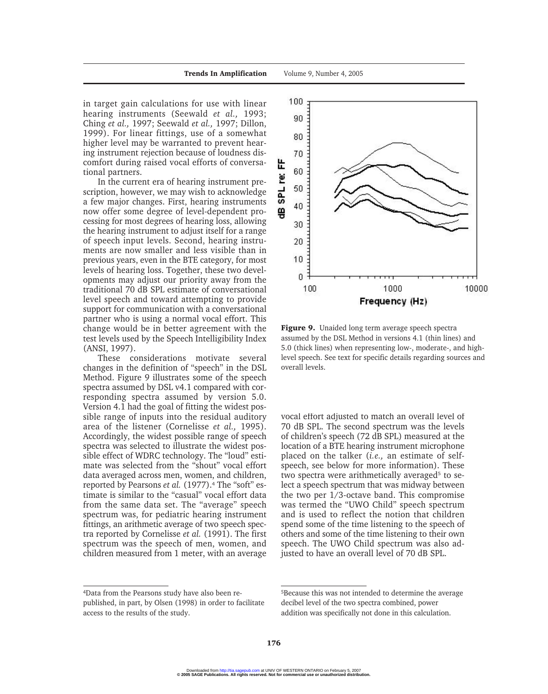in target gain calculations for use with linear hearing instruments (Seewald *et al.,* 1993; Ching *et al.,* 1997; Seewald *et al.,* 1997; Dillon, 1999). For linear fittings, use of a somewhat higher level may be warranted to prevent hearing instrument rejection because of loudness discomfort during raised vocal efforts of conversational partners.

In the current era of hearing instrument prescription, however, we may wish to acknowledge a few major changes. First, hearing instruments now offer some degree of level-dependent processing for most degrees of hearing loss, allowing the hearing instrument to adjust itself for a range of speech input levels. Second, hearing instruments are now smaller and less visible than in previous years, even in the BTE category, for most levels of hearing loss. Together, these two developments may adjust our priority away from the traditional 70 dB SPL estimate of conversational level speech and toward attempting to provide support for communication with a conversational partner who is using a normal vocal effort. This change would be in better agreement with the test levels used by the Speech Intelligibility Index (ANSI, 1997).

These considerations motivate several changes in the definition of "speech" in the DSL Method. Figure 9 illustrates some of the speech spectra assumed by DSL v4.1 compared with corresponding spectra assumed by version 5.0. Version 4.1 had the goal of fitting the widest possible range of inputs into the residual auditory area of the listener (Cornelisse *et al.,* 1995). Accordingly, the widest possible range of speech spectra was selected to illustrate the widest possible effect of WDRC technology. The "loud" estimate was selected from the "shout" vocal effort data averaged across men, women, and children, reported by Pearsons *et al.* (1977).<sup>4</sup> The "soft" estimate is similar to the "casual" vocal effort data from the same data set. The "average" speech spectrum was, for pediatric hearing instrument fittings, an arithmetic average of two speech spectra reported by Cornelisse *et al.* (1991). The first spectrum was the speech of men, women, and children measured from 1 meter, with an average



Figure 9. Unaided long term average speech spectra assumed by the DSL Method in versions 4.1 (thin lines) and 5.0 (thick lines) when representing low-, moderate-, and highlevel speech. See text for specific details regarding sources and overall levels.

vocal effort adjusted to match an overall level of 70 dB SPL. The second spectrum was the levels of children's speech (72 dB SPL) measured at the location of a BTE hearing instrument microphone placed on the talker (*i.e.,* an estimate of selfspeech, see below for more information). These two spectra were arithmetically averaged<sup>5</sup> to select a speech spectrum that was midway between the two per 1/3-octave band. This compromise was termed the "UWO Child" speech spectrum and is used to reflect the notion that children spend some of the time listening to the speech of others and some of the time listening to their own speech. The UWO Child spectrum was also adjusted to have an overall level of 70 dB SPL.

<sup>4</sup>Data from the Pearsons study have also been republished, in part, by Olsen (1998) in order to facilitate access to the results of the study.

<sup>5</sup>Because this was not intended to determine the average decibel level of the two spectra combined, power addition was specifically not done in this calculation.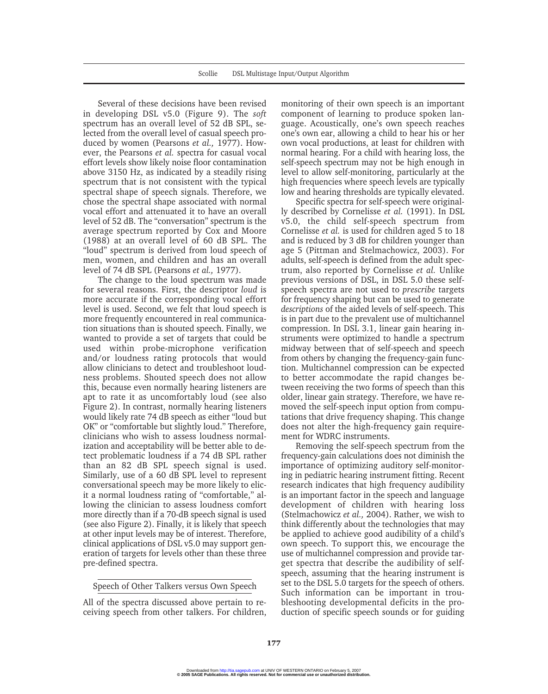Several of these decisions have been revised in developing DSL v5.0 (Figure 9). The *soft* spectrum has an overall level of 52 dB SPL, selected from the overall level of casual speech produced by women (Pearsons *et al.,* 1977). However, the Pearsons *et al.* spectra for casual vocal effort levels show likely noise floor contamination above 3150 Hz, as indicated by a steadily rising spectrum that is not consistent with the typical spectral shape of speech signals. Therefore, we chose the spectral shape associated with normal vocal effort and attenuated it to have an overall level of 52 dB. The "conversation" spectrum is the average spectrum reported by Cox and Moore (1988) at an overall level of 60 dB SPL. The "loud" spectrum is derived from loud speech of men, women, and children and has an overall level of 74 dB SPL (Pearsons *et al.,* 1977).

The change to the loud spectrum was made for several reasons. First, the descriptor *loud* is more accurate if the corresponding vocal effort level is used. Second, we felt that loud speech is more frequently encountered in real communication situations than is shouted speech. Finally, we wanted to provide a set of targets that could be used within probe-microphone verification and/or loudness rating protocols that would allow clinicians to detect and troubleshoot loudness problems. Shouted speech does not allow this, because even normally hearing listeners are apt to rate it as uncomfortably loud (see also Figure 2). In contrast, normally hearing listeners would likely rate 74 dB speech as either "loud but OK" or "comfortable but slightly loud." Therefore, clinicians who wish to assess loudness normalization and acceptability will be better able to detect problematic loudness if a 74 dB SPL rather than an 82 dB SPL speech signal is used. Similarly, use of a 60 dB SPL level to represent conversational speech may be more likely to elicit a normal loudness rating of "comfortable," allowing the clinician to assess loudness comfort more directly than if a 70-dB speech signal is used (see also Figure 2). Finally, it is likely that speech at other input levels may be of interest. Therefore, clinical applications of DSL v5.0 may support generation of targets for levels other than these three pre-defined spectra.

Speech of Other Talkers versus Own Speech

All of the spectra discussed above pertain to receiving speech from other talkers. For children, monitoring of their own speech is an important component of learning to produce spoken language. Acoustically, one's own speech reaches one's own ear, allowing a child to hear his or her own vocal productions, at least for children with normal hearing. For a child with hearing loss, the self-speech spectrum may not be high enough in level to allow self-monitoring, particularly at the high frequencies where speech levels are typically low and hearing thresholds are typically elevated.

Specific spectra for self-speech were originally described by Cornelisse *et al.* (1991). In DSL v5.0, the child self-speech spectrum from Cornelisse *et al.* is used for children aged 5 to 18 and is reduced by 3 dB for children younger than age 5 (Pittman and Stelmachowicz, 2003). For adults, self-speech is defined from the adult spectrum, also reported by Cornelisse *et al.* Unlike previous versions of DSL, in DSL 5.0 these selfspeech spectra are not used to *prescribe* targets for frequency shaping but can be used to generate *descriptions* of the aided levels of self-speech. This is in part due to the prevalent use of multichannel compression. In DSL 3.1, linear gain hearing instruments were optimized to handle a spectrum midway between that of self-speech and speech from others by changing the frequency-gain function. Multichannel compression can be expected to better accommodate the rapid changes between receiving the two forms of speech than this older, linear gain strategy. Therefore, we have removed the self-speech input option from computations that drive frequency shaping. This change does not alter the high-frequency gain requirement for WDRC instruments.

Removing the self-speech spectrum from the frequency-gain calculations does not diminish the importance of optimizing auditory self-monitoring in pediatric hearing instrument fitting. Recent research indicates that high frequency audibility is an important factor in the speech and language development of children with hearing loss (Stelmachowicz *et al.,* 2004). Rather, we wish to think differently about the technologies that may be applied to achieve good audibility of a child's own speech. To support this, we encourage the use of multichannel compression and provide target spectra that describe the audibility of selfspeech, assuming that the hearing instrument is set to the DSL 5.0 targets for the speech of others. Such information can be important in troubleshooting developmental deficits in the production of specific speech sounds or for guiding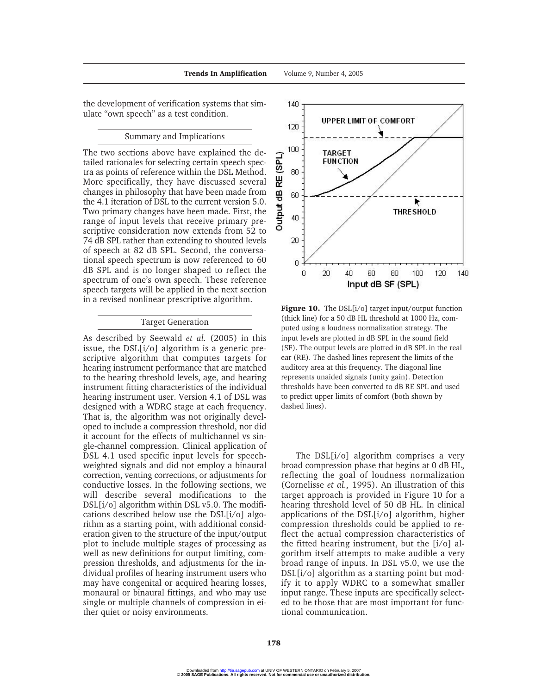the development of verification systems that simulate "own speech" as a test condition.

#### Summary and Implications

The two sections above have explained the detailed rationales for selecting certain speech spectra as points of reference within the DSL Method. More specifically, they have discussed several changes in philosophy that have been made from the 4.1 iteration of DSL to the current version 5.0. Two primary changes have been made. First, the range of input levels that receive primary prescriptive consideration now extends from 52 to 74 dB SPL rather than extending to shouted levels of speech at 82 dB SPL. Second, the conversational speech spectrum is now referenced to 60 dB SPL and is no longer shaped to reflect the spectrum of one's own speech. These reference speech targets will be applied in the next section in a revised nonlinear prescriptive algorithm.

#### Target Generation

As described by Seewald *et al.* (2005) in this issue, the DSL[i/o] algorithm is a generic prescriptive algorithm that computes targets for hearing instrument performance that are matched to the hearing threshold levels, age, and hearing instrument fitting characteristics of the individual hearing instrument user. Version 4.1 of DSL was designed with a WDRC stage at each frequency. That is, the algorithm was not originally developed to include a compression threshold, nor did it account for the effects of multichannel vs single-channel compression. Clinical application of DSL 4.1 used specific input levels for speechweighted signals and did not employ a binaural correction, venting corrections, or adjustments for conductive losses. In the following sections, we will describe several modifications to the  $DSL[i/O]$  algorithm within DSL v5.0. The modifications described below use the DSL[i/o] algorithm as a starting point, with additional consideration given to the structure of the input/output plot to include multiple stages of processing as well as new definitions for output limiting, compression thresholds, and adjustments for the individual profiles of hearing instrument users who may have congenital or acquired hearing losses, monaural or binaural fittings, and who may use single or multiple channels of compression in either quiet or noisy environments.



Figure 10. The DSL[i/o] target input/output function (thick line) for a 50 dB HL threshold at 1000 Hz, computed using a loudness normalization strategy. The input levels are plotted in dB SPL in the sound field (SF). The output levels are plotted in dB SPL in the real ear (RE). The dashed lines represent the limits of the auditory area at this frequency. The diagonal line represents unaided signals (unity gain). Detection thresholds have been converted to dB RE SPL and used to predict upper limits of comfort (both shown by dashed lines).

The DSL[i/o] algorithm comprises a very broad compression phase that begins at 0 dB HL, reflecting the goal of loudness normalization (Cornelisse *et al.,* 1995). An illustration of this target approach is provided in Figure 10 for a hearing threshold level of 50 dB HL. In clinical applications of the DSL[i/o] algorithm, higher compression thresholds could be applied to reflect the actual compression characteristics of the fitted hearing instrument, but the [i/o] algorithm itself attempts to make audible a very broad range of inputs. In DSL v5.0, we use the DSL[i/o] algorithm as a starting point but modify it to apply WDRC to a somewhat smaller input range. These inputs are specifically selected to be those that are most important for functional communication.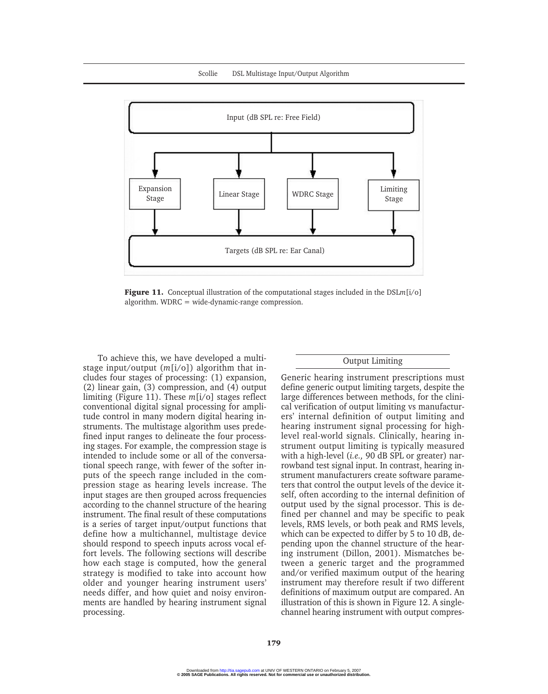Scollie DSL Multistage Input/Output Algorithm



Figure 11. Conceptual illustration of the computational stages included in the DSL*m*[i/o] algorithm. WDRC = wide-dynamic-range compression.

To achieve this, we have developed a multistage input/output (*m*[i/o]) algorithm that includes four stages of processing: (1) expansion, (2) linear gain, (3) compression, and (4) output limiting (Figure 11). These *m*[i/o] stages reflect conventional digital signal processing for amplitude control in many modern digital hearing instruments. The multistage algorithm uses predefined input ranges to delineate the four processing stages. For example, the compression stage is intended to include some or all of the conversational speech range, with fewer of the softer inputs of the speech range included in the compression stage as hearing levels increase. The input stages are then grouped across frequencies according to the channel structure of the hearing instrument. The final result of these computations is a series of target input/output functions that define how a multichannel, multistage device should respond to speech inputs across vocal effort levels. The following sections will describe how each stage is computed, how the general strategy is modified to take into account how older and younger hearing instrument users' needs differ, and how quiet and noisy environments are handled by hearing instrument signal processing.

# Output Limiting

Generic hearing instrument prescriptions must define generic output limiting targets, despite the large differences between methods, for the clinical verification of output limiting vs manufacturers' internal definition of output limiting and hearing instrument signal processing for highlevel real-world signals. Clinically, hearing instrument output limiting is typically measured with a high-level (*i.e.,* 90 dB SPL or greater) narrowband test signal input. In contrast, hearing instrument manufacturers create software parameters that control the output levels of the device itself, often according to the internal definition of output used by the signal processor. This is defined per channel and may be specific to peak levels, RMS levels, or both peak and RMS levels, which can be expected to differ by 5 to 10 dB, depending upon the channel structure of the hearing instrument (Dillon, 2001). Mismatches between a generic target and the programmed and/or verified maximum output of the hearing instrument may therefore result if two different definitions of maximum output are compared. An illustration of this is shown in Figure 12. A singlechannel hearing instrument with output compres-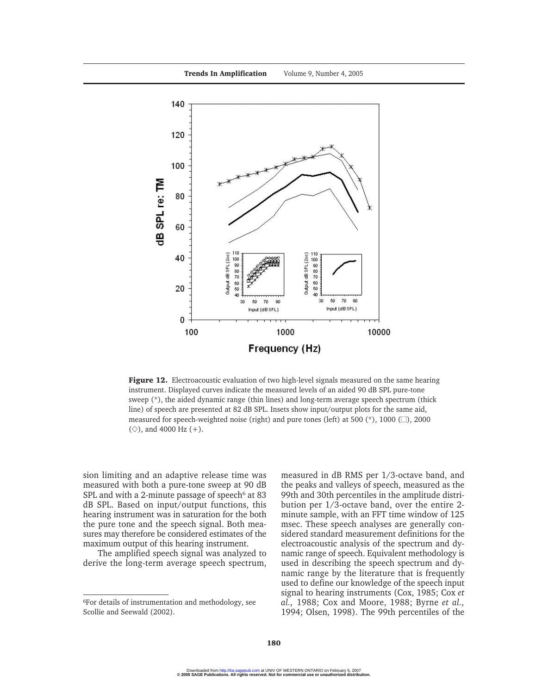

Figure 12. Electroacoustic evaluation of two high-level signals measured on the same hearing instrument. Displayed curves indicate the measured levels of an aided 90 dB SPL pure-tone sweep (\*), the aided dynamic range (thin lines) and long-term average speech spectrum (thick line) of speech are presented at 82 dB SPL. Insets show input/output plots for the same aid, measured for speech-weighted noise (right) and pure tones (left) at 500  $(*)$ , 1000  $(\Box)$ , 2000 (◆), and 4000 Hz (+).

sion limiting and an adaptive release time was measured with both a pure-tone sweep at 90 dB SPL and with a 2-minute passage of speech $6$  at 83 dB SPL. Based on input/output functions, this hearing instrument was in saturation for the both the pure tone and the speech signal. Both measures may therefore be considered estimates of the maximum output of this hearing instrument.

The amplified speech signal was analyzed to derive the long-term average speech spectrum,

measured in dB RMS per 1/3-octave band, and the peaks and valleys of speech, measured as the 99th and 30th percentiles in the amplitude distribution per 1/3-octave band, over the entire 2 minute sample, with an FFT time window of 125 msec. These speech analyses are generally considered standard measurement definitions for the electroacoustic analysis of the spectrum and dynamic range of speech. Equivalent methodology is used in describing the speech spectrum and dynamic range by the literature that is frequently used to define our knowledge of the speech input signal to hearing instruments (Cox, 1985; Cox *et al.,* 1988; Cox and Moore, 1988; Byrne *et al.,* 1994; Olsen, 1998). The 99th percentiles of the

<sup>6</sup>For details of instrumentation and methodology, see Scollie and Seewald (2002).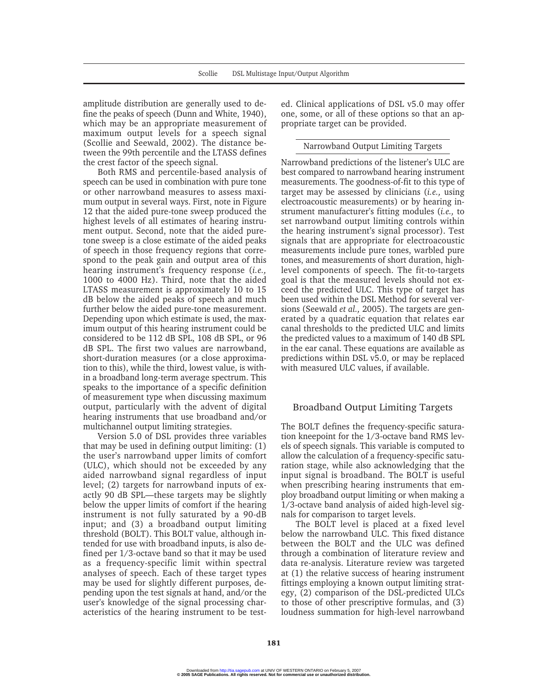amplitude distribution are generally used to define the peaks of speech (Dunn and White, 1940), which may be an appropriate measurement of maximum output levels for a speech signal (Scollie and Seewald, 2002). The distance between the 99th percentile and the LTASS defines the crest factor of the speech signal.

Both RMS and percentile-based analysis of speech can be used in combination with pure tone or other narrowband measures to assess maximum output in several ways. First, note in Figure 12 that the aided pure-tone sweep produced the highest levels of all estimates of hearing instrument output. Second, note that the aided puretone sweep is a close estimate of the aided peaks of speech in those frequency regions that correspond to the peak gain and output area of this hearing instrument's frequency response (*i.e.,* 1000 to 4000 Hz). Third, note that the aided LTASS measurement is approximately 10 to 15 dB below the aided peaks of speech and much further below the aided pure-tone measurement. Depending upon which estimate is used, the maximum output of this hearing instrument could be considered to be 112 dB SPL, 108 dB SPL, or 96 dB SPL. The first two values are narrowband, short-duration measures (or a close approximation to this), while the third, lowest value, is within a broadband long-term average spectrum. This speaks to the importance of a specific definition of measurement type when discussing maximum output, particularly with the advent of digital hearing instruments that use broadband and/or multichannel output limiting strategies.

Version 5.0 of DSL provides three variables that may be used in defining output limiting: (1) the user's narrowband upper limits of comfort (ULC), which should not be exceeded by any aided narrowband signal regardless of input level; (2) targets for narrowband inputs of exactly 90 dB SPL—these targets may be slightly below the upper limits of comfort if the hearing instrument is not fully saturated by a 90-dB input; and (3) a broadband output limiting threshold (BOLT). This BOLT value, although intended for use with broadband inputs, is also defined per 1/3-octave band so that it may be used as a frequency-specific limit within spectral analyses of speech. Each of these target types may be used for slightly different purposes, depending upon the test signals at hand, and/or the user's knowledge of the signal processing characteristics of the hearing instrument to be tested. Clinical applications of DSL v5.0 may offer one, some, or all of these options so that an appropriate target can be provided.

# Narrowband Output Limiting Targets

Narrowband predictions of the listener's ULC are best compared to narrowband hearing instrument measurements. The goodness-of-fit to this type of target may be assessed by clinicians (*i.e.,* using electroacoustic measurements) or by hearing instrument manufacturer's fitting modules (*i.e.,* to set narrowband output limiting controls within the hearing instrument's signal processor). Test signals that are appropriate for electroacoustic measurements include pure tones, warbled pure tones, and measurements of short duration, highlevel components of speech. The fit-to-targets goal is that the measured levels should not exceed the predicted ULC. This type of target has been used within the DSL Method for several versions (Seewald *et al.,* 2005). The targets are generated by a quadratic equation that relates ear canal thresholds to the predicted ULC and limits the predicted values to a maximum of 140 dB SPL in the ear canal. These equations are available as predictions within DSL v5.0, or may be replaced with measured ULC values, if available.

# Broadband Output Limiting Targets

The BOLT defines the frequency-specific saturation kneepoint for the 1/3-octave band RMS levels of speech signals. This variable is computed to allow the calculation of a frequency-specific saturation stage, while also acknowledging that the input signal is broadband. The BOLT is useful when prescribing hearing instruments that employ broadband output limiting or when making a 1/3-octave band analysis of aided high-level signals for comparison to target levels.

The BOLT level is placed at a fixed level below the narrowband ULC. This fixed distance between the BOLT and the ULC was defined through a combination of literature review and data re-analysis. Literature review was targeted at (1) the relative success of hearing instrument fittings employing a known output limiting strategy, (2) comparison of the DSL-predicted ULCs to those of other prescriptive formulas, and (3) loudness summation for high-level narrowband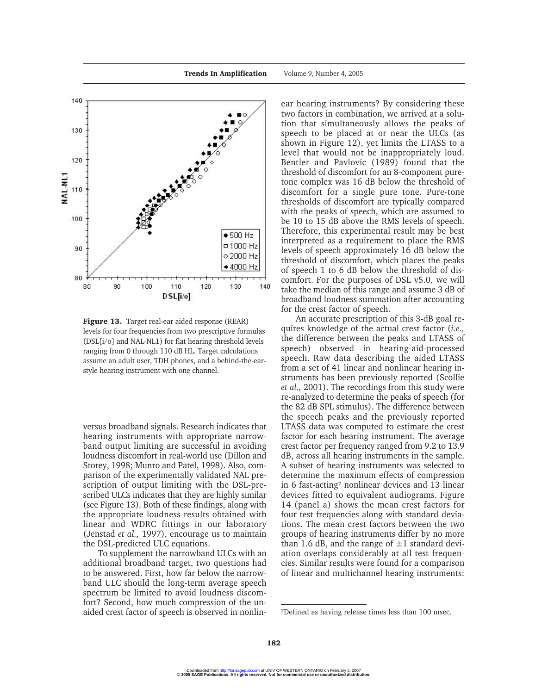

Figure 13. Target real-ear aided response (REAR) levels for four frequencies from two prescriptive formulas (DSL[i/o] and NAL-NL1) for flat hearing threshold levels ranging from 0 through 110 dB HL. Target calculations assume an adult user, TDH phones, and a behind-the-earstyle hearing instrument with one channel.

versus broadband signals. Research indicates that hearing instruments with appropriate narrowband output limiting are successful in avoiding loudness discomfort in real-world use (Dillon and Storey, 1998; Munro and Patel, 1998). Also, comparison of the experimentally validated NAL prescription of output limiting with the DSL-prescribed ULCs indicates that they are highly similar (see Figure 13). Both of these findings, along with the appropriate loudness results obtained with linear and WDRC fittings in our laboratory (Jenstad *et al.,* 1997), encourage us to maintain the DSL-predicted ULC equations.

To supplement the narrowband ULCs with an additional broadband target, two questions had to be answered. First, how far below the narrowband ULC should the long-term average speech spectrum be limited to avoid loudness discomfort? Second, how much compression of the unaided crest factor of speech is observed in nonlinear hearing instruments? By considering these two factors in combination, we arrived at a solution that simultaneously allows the peaks of speech to be placed at or near the ULCs (as shown in Figure 12), yet limits the LTASS to a level that would not be inappropriately loud. Bentler and Pavlovic (1989) found that the threshold of discomfort for an 8-component puretone complex was 16 dB below the threshold of discomfort for a single pure tone. Pure-tone thresholds of discomfort are typically compared with the peaks of speech, which are assumed to be 10 to 15 dB above the RMS levels of speech. Therefore, this experimental result may be best interpreted as a requirement to place the RMS levels of speech approximately 16 dB below the threshold of discomfort, which places the peaks of speech 1 to 6 dB below the threshold of discomfort. For the purposes of DSL v5.0, we will take the median of this range and assume 3 dB of broadband loudness summation after accounting for the crest factor of speech.

An accurate prescription of this 3-dB goal requires knowledge of the actual crest factor (*i.e.,* the difference between the peaks and LTASS of speech) observed in hearing-aid-processed speech. Raw data describing the aided LTASS from a set of 41 linear and nonlinear hearing instruments has been previously reported (Scollie *et al.,* 2001). The recordings from this study were re-analyzed to determine the peaks of speech (for the 82 dB SPL stimulus). The difference between the speech peaks and the previously reported LTASS data was computed to estimate the crest factor for each hearing instrument. The average crest factor per frequency ranged from 9.2 to 13.9 dB, across all hearing instruments in the sample. A subset of hearing instruments was selected to determine the maximum effects of compression in 6 fast-acting<sup>7</sup> nonlinear devices and 13 linear devices fitted to equivalent audiograms. Figure 14 (panel a) shows the mean crest factors for four test frequencies along with standard deviations. The mean crest factors between the two groups of hearing instruments differ by no more than 1.6 dB, and the range of  $\pm 1$  standard deviation overlaps considerably at all test frequencies. Similar results were found for a comparison of linear and multichannel hearing instruments:

Trends In Amplification Volume 9, Number 4, 2005

<sup>7</sup>Defined as having release times less than 100 msec.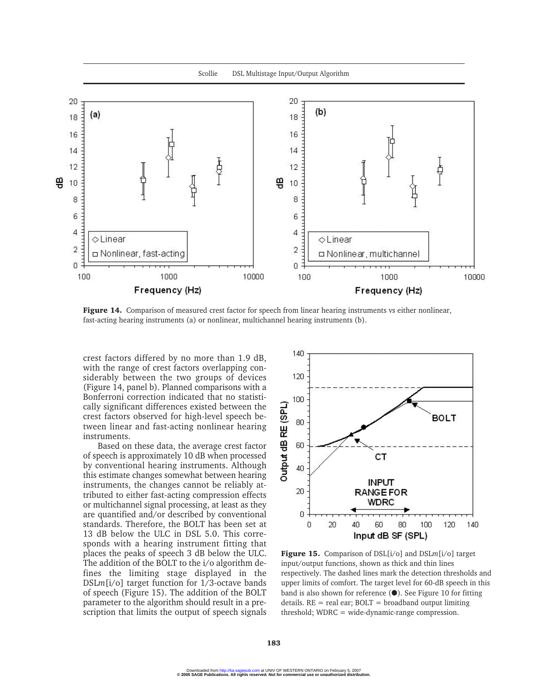

Figure 14. Comparison of measured crest factor for speech from linear hearing instruments vs either nonlinear, fast-acting hearing instruments (a) or nonlinear, multichannel hearing instruments (b).

crest factors differed by no more than 1.9 dB, with the range of crest factors overlapping considerably between the two groups of devices (Figure 14, panel b). Planned comparisons with a Bonferroni correction indicated that no statistically significant differences existed between the crest factors observed for high-level speech between linear and fast-acting nonlinear hearing instruments.

Based on these data, the average crest factor of speech is approximately 10 dB when processed by conventional hearing instruments. Although this estimate changes somewhat between hearing instruments, the changes cannot be reliably attributed to either fast-acting compression effects or multichannel signal processing, at least as they are quantified and/or described by conventional standards. Therefore, the BOLT has been set at 13 dB below the ULC in DSL 5.0. This corresponds with a hearing instrument fitting that places the peaks of speech 3 dB below the ULC. The addition of the BOLT to the i/o algorithm defines the limiting stage displayed in the DSL*m*[i/o] target function for 1/3-octave bands of speech (Figure 15). The addition of the BOLT parameter to the algorithm should result in a prescription that limits the output of speech signals



Figure 15. Comparison of DSL[i/o] and DSL*m*[i/o] target input/output functions, shown as thick and thin lines respectively. The dashed lines mark the detection thresholds and upper limits of comfort. The target level for 60-dB speech in this band is also shown for reference (●). See Figure 10 for fitting details.  $RE = real ear$ ;  $BOLT = broadband output limiting$ threshold; WDRC = wide-dynamic-range compression.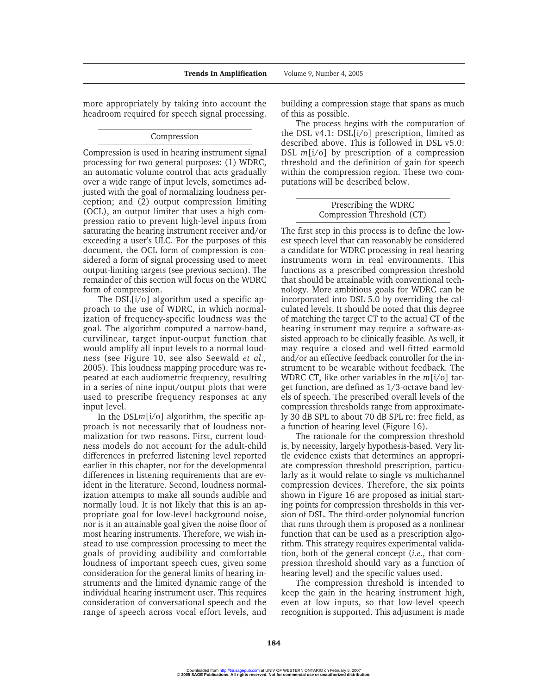more appropriately by taking into account the headroom required for speech signal processing.

#### Compression

Compression is used in hearing instrument signal processing for two general purposes: (1) WDRC, an automatic volume control that acts gradually over a wide range of input levels, sometimes adjusted with the goal of normalizing loudness perception; and (2) output compression limiting (OCL), an output limiter that uses a high compression ratio to prevent high-level inputs from saturating the hearing instrument receiver and/or exceeding a user's ULC. For the purposes of this document, the OCL form of compression is considered a form of signal processing used to meet output-limiting targets (see previous section). The remainder of this section will focus on the WDRC form of compression.

The DSL[i/o] algorithm used a specific approach to the use of WDRC, in which normalization of frequency-specific loudness was the goal. The algorithm computed a narrow-band, curvilinear, target input-output function that would amplify all input levels to a normal loudness (see Figure 10, see also Seewald *et al.,* 2005). This loudness mapping procedure was repeated at each audiometric frequency, resulting in a series of nine input/output plots that were used to prescribe frequency responses at any input level.

In the DSL*m*[i/o] algorithm, the specific approach is not necessarily that of loudness normalization for two reasons. First, current loudness models do not account for the adult-child differences in preferred listening level reported earlier in this chapter, nor for the developmental differences in listening requirements that are evident in the literature. Second, loudness normalization attempts to make all sounds audible and normally loud. It is not likely that this is an appropriate goal for low-level background noise, nor is it an attainable goal given the noise floor of most hearing instruments. Therefore, we wish instead to use compression processing to meet the goals of providing audibility and comfortable loudness of important speech cues, given some consideration for the general limits of hearing instruments and the limited dynamic range of the individual hearing instrument user. This requires consideration of conversational speech and the range of speech across vocal effort levels, and

building a compression stage that spans as much of this as possible.

The process begins with the computation of the DSL v4.1: DSL[i/o] prescription, limited as described above. This is followed in DSL v5.0: DSL *m*[i/o] by prescription of a compression threshold and the definition of gain for speech within the compression region. These two computations will be described below.

> Prescribing the WDRC Compression Threshold (CT)

The first step in this process is to define the lowest speech level that can reasonably be considered a candidate for WDRC processing in real hearing instruments worn in real environments. This functions as a prescribed compression threshold that should be attainable with conventional technology. More ambitious goals for WDRC can be incorporated into DSL 5.0 by overriding the calculated levels. It should be noted that this degree of matching the target CT to the actual CT of the hearing instrument may require a software-assisted approach to be clinically feasible. As well, it may require a closed and well-fitted earmold and/or an effective feedback controller for the instrument to be wearable without feedback. The WDRC CT, like other variables in the *m*[i/o] target function, are defined as 1/3-octave band levels of speech. The prescribed overall levels of the compression thresholds range from approximately 30 dB SPL to about 70 dB SPL re: free field, as a function of hearing level (Figure 16).

The rationale for the compression threshold is, by necessity, largely hypothesis-based. Very little evidence exists that determines an appropriate compression threshold prescription, particularly as it would relate to single vs multichannel compression devices. Therefore, the six points shown in Figure 16 are proposed as initial starting points for compression thresholds in this version of DSL. The third-order polynomial function that runs through them is proposed as a nonlinear function that can be used as a prescription algorithm. This strategy requires experimental validation, both of the general concept (*i.e.,* that compression threshold should vary as a function of hearing level) and the specific values used.

The compression threshold is intended to keep the gain in the hearing instrument high, even at low inputs, so that low-level speech recognition is supported. This adjustment is made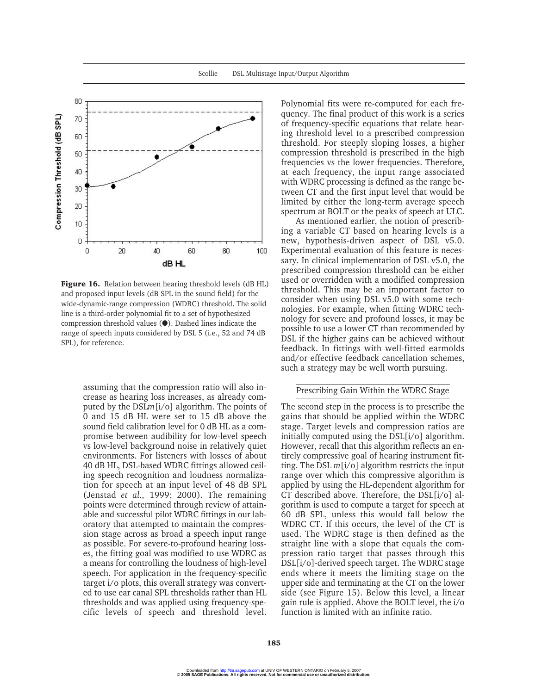

Figure 16. Relation between hearing threshold levels (dB HL) and proposed input levels (dB SPL in the sound field) for the wide-dynamic-range compression (WDRC) threshold. The solid line is a third-order polynomial fit to a set of hypothesized compression threshold values (●). Dashed lines indicate the range of speech inputs considered by DSL 5 (i.e., 52 and 74 dB SPL), for reference.

assuming that the compression ratio will also increase as hearing loss increases, as already computed by the DSL*m*[i/o] algorithm. The points of 0 and 15 dB HL were set to 15 dB above the sound field calibration level for 0 dB HL as a compromise between audibility for low-level speech vs low-level background noise in relatively quiet environments. For listeners with losses of about 40 dB HL, DSL-based WDRC fittings allowed ceiling speech recognition and loudness normalization for speech at an input level of 48 dB SPL (Jenstad *et al.,* 1999; 2000). The remaining points were determined through review of attainable and successful pilot WDRC fittings in our laboratory that attempted to maintain the compression stage across as broad a speech input range as possible. For severe-to-profound hearing losses, the fitting goal was modified to use WDRC as a means for controlling the loudness of high-level speech. For application in the frequency-specific target i/o plots, this overall strategy was converted to use ear canal SPL thresholds rather than HL thresholds and was applied using frequency-specific levels of speech and threshold level.

Polynomial fits were re-computed for each frequency. The final product of this work is a series of frequency-specific equations that relate hearing threshold level to a prescribed compression threshold. For steeply sloping losses, a higher compression threshold is prescribed in the high frequencies vs the lower frequencies. Therefore, at each frequency, the input range associated with WDRC processing is defined as the range between CT and the first input level that would be limited by either the long-term average speech spectrum at BOLT or the peaks of speech at ULC.

As mentioned earlier, the notion of prescribing a variable CT based on hearing levels is a new, hypothesis-driven aspect of DSL v5.0. Experimental evaluation of this feature is necessary. In clinical implementation of DSL v5.0, the prescribed compression threshold can be either used or overridden with a modified compression threshold. This may be an important factor to consider when using DSL v5.0 with some technologies. For example, when fitting WDRC technology for severe and profound losses, it may be possible to use a lower CT than recommended by DSL if the higher gains can be achieved without feedback. In fittings with well-fitted earmolds and/or effective feedback cancellation schemes, such a strategy may be well worth pursuing.

#### Prescribing Gain Within the WDRC Stage

The second step in the process is to prescribe the gains that should be applied within the WDRC stage. Target levels and compression ratios are initially computed using the DSL[i/o] algorithm. However, recall that this algorithm reflects an entirely compressive goal of hearing instrument fitting. The DSL *m*[i/o] algorithm restricts the input range over which this compressive algorithm is applied by using the HL-dependent algorithm for CT described above. Therefore, the DSL[i/o] algorithm is used to compute a target for speech at 60 dB SPL, unless this would fall below the WDRC CT. If this occurs, the level of the CT is used. The WDRC stage is then defined as the straight line with a slope that equals the compression ratio target that passes through this DSL[i/o]-derived speech target. The WDRC stage ends where it meets the limiting stage on the upper side and terminating at the CT on the lower side (see Figure 15). Below this level, a linear gain rule is applied. Above the BOLT level, the i/o function is limited with an infinite ratio.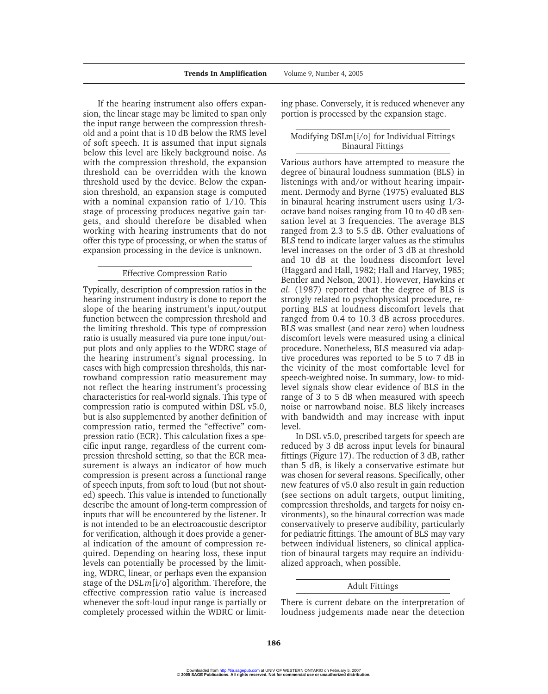If the hearing instrument also offers expansion, the linear stage may be limited to span only the input range between the compression threshold and a point that is 10 dB below the RMS level of soft speech. It is assumed that input signals below this level are likely background noise. As with the compression threshold, the expansion threshold can be overridden with the known threshold used by the device. Below the expansion threshold, an expansion stage is computed with a nominal expansion ratio of 1/10. This stage of processing produces negative gain targets, and should therefore be disabled when working with hearing instruments that do not offer this type of processing, or when the status of expansion processing in the device is unknown.

#### Effective Compression Ratio

Typically, description of compression ratios in the hearing instrument industry is done to report the slope of the hearing instrument's input/output function between the compression threshold and the limiting threshold. This type of compression ratio is usually measured via pure tone input/output plots and only applies to the WDRC stage of the hearing instrument's signal processing. In cases with high compression thresholds, this narrowband compression ratio measurement may not reflect the hearing instrument's processing characteristics for real-world signals. This type of compression ratio is computed within DSL v5.0, but is also supplemented by another definition of compression ratio, termed the "effective" compression ratio (ECR). This calculation fixes a specific input range, regardless of the current compression threshold setting, so that the ECR measurement is always an indicator of how much compression is present across a functional range of speech inputs, from soft to loud (but not shouted) speech. This value is intended to functionally describe the amount of long-term compression of inputs that will be encountered by the listener. It is not intended to be an electroacoustic descriptor for verification, although it does provide a general indication of the amount of compression required. Depending on hearing loss, these input levels can potentially be processed by the limiting, WDRC, linear, or perhaps even the expansion stage of the DSL *m*[i/o] algorithm. Therefore, the effective compression ratio value is increased whenever the soft-loud input range is partially or completely processed within the WDRC or limiting phase. Conversely, it is reduced whenever any portion is processed by the expansion stage.

# Modifying DSLm[i/o] for Individual Fittings Binaural Fittings

Various authors have attempted to measure the degree of binaural loudness summation (BLS) in listenings with and/or without hearing impairment. Dermody and Byrne (1975) evaluated BLS in binaural hearing instrument users using 1/3 octave band noises ranging from 10 to 40 dB sensation level at 3 frequencies. The average BLS ranged from 2.3 to 5.5 dB. Other evaluations of BLS tend to indicate larger values as the stimulus level increases on the order of 3 dB at threshold and 10 dB at the loudness discomfort level (Haggard and Hall, 1982; Hall and Harvey, 1985; Bentler and Nelson, 2001). However, Hawkins *et al.* (1987) reported that the degree of BLS is strongly related to psychophysical procedure, reporting BLS at loudness discomfort levels that ranged from 0.4 to 10.3 dB across procedures. BLS was smallest (and near zero) when loudness discomfort levels were measured using a clinical procedure. Nonetheless, BLS measured via adaptive procedures was reported to be 5 to 7 dB in the vicinity of the most comfortable level for speech-weighted noise. In summary, low- to midlevel signals show clear evidence of BLS in the range of 3 to 5 dB when measured with speech noise or narrowband noise. BLS likely increases with bandwidth and may increase with input level.

In DSL v5.0, prescribed targets for speech are reduced by 3 dB across input levels for binaural fittings (Figure 17). The reduction of 3 dB, rather than 5 dB, is likely a conservative estimate but was chosen for several reasons. Specifically, other new features of v5.0 also result in gain reduction (see sections on adult targets, output limiting, compression thresholds, and targets for noisy environments), so the binaural correction was made conservatively to preserve audibility, particularly for pediatric fittings. The amount of BLS may vary between individual listeners, so clinical application of binaural targets may require an individualized approach, when possible.

# Adult Fittings

There is current debate on the interpretation of loudness judgements made near the detection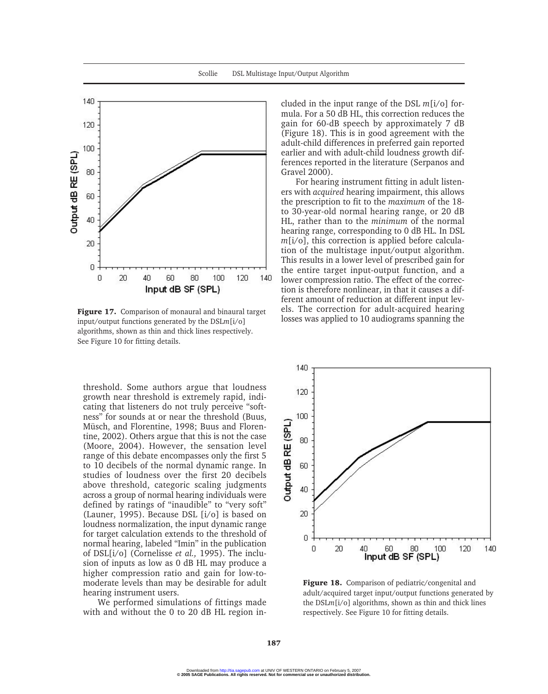Scollie DSL Multistage Input/Output Algorithm



Figure 17. Comparison of monaural and binaural target input/output functions generated by the DSL*m*[i/o] algorithms, shown as thin and thick lines respectively. See Figure 10 for fitting details.

threshold. Some authors argue that loudness growth near threshold is extremely rapid, indicating that listeners do not truly perceive "softness" for sounds at or near the threshold (Buus, Müsch, and Florentine, 1998; Buus and Florentine, 2002). Others argue that this is not the case (Moore, 2004). However, the sensation level range of this debate encompasses only the first 5 to 10 decibels of the normal dynamic range. In studies of loudness over the first 20 decibels above threshold, categoric scaling judgments across a group of normal hearing individuals were defined by ratings of "inaudible" to "very soft" (Launer, 1995). Because DSL [i/o] is based on loudness normalization, the input dynamic range for target calculation extends to the threshold of normal hearing, labeled "Imin" in the publication of DSL[i/o] (Cornelisse *et al.,* 1995). The inclusion of inputs as low as 0 dB HL may produce a higher compression ratio and gain for low-tomoderate levels than may be desirable for adult hearing instrument users.

We performed simulations of fittings made with and without the 0 to 20 dB HL region included in the input range of the DSL *m*[i/o] formula. For a 50 dB HL, this correction reduces the gain for 60-dB speech by approximately 7 dB (Figure 18). This is in good agreement with the adult-child differences in preferred gain reported earlier and with adult-child loudness growth differences reported in the literature (Serpanos and Gravel 2000).

For hearing instrument fitting in adult listeners with *acquired* hearing impairment, this allows the prescription to fit to the *maximum* of the 18 to 30-year-old normal hearing range, or 20 dB HL, rather than to the *minimum* of the normal hearing range, corresponding to 0 dB HL. In DSL *m*[i/o], this correction is applied before calculation of the multistage input/output algorithm. This results in a lower level of prescribed gain for the entire target input-output function, and a lower compression ratio. The effect of the correction is therefore nonlinear, in that it causes a different amount of reduction at different input levels. The correction for adult-acquired hearing losses was applied to 10 audiograms spanning the



Figure 18. Comparison of pediatric/congenital and adult/acquired target input/output functions generated by the DSL*m*[i/o] algorithms, shown as thin and thick lines respectively. See Figure 10 for fitting details.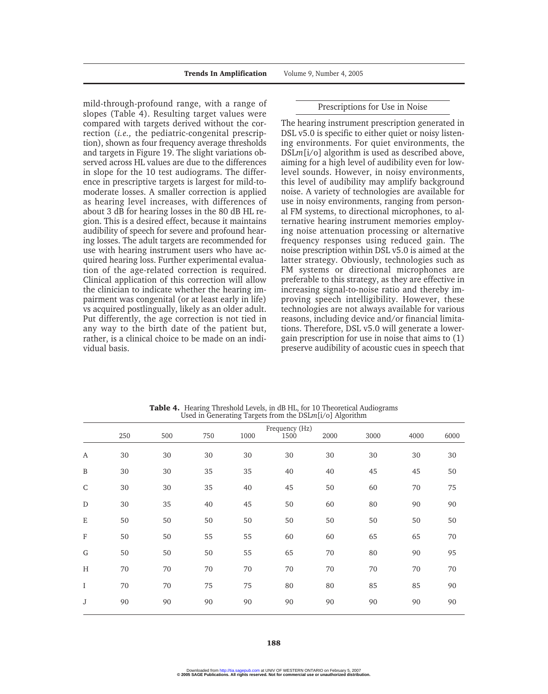#### Trends In Amplification Volume 9, Number 4, 2005

mild-through-profound range, with a range of slopes (Table 4). Resulting target values were compared with targets derived without the correction (*i.e.,* the pediatric-congenital prescription), shown as four frequency average thresholds and targets in Figure 19. The slight variations observed across HL values are due to the differences in slope for the 10 test audiograms. The difference in prescriptive targets is largest for mild-tomoderate losses. A smaller correction is applied as hearing level increases, with differences of about 3 dB for hearing losses in the 80 dB HL region. This is a desired effect, because it maintains audibility of speech for severe and profound hearing losses. The adult targets are recommended for use with hearing instrument users who have acquired hearing loss. Further experimental evaluation of the age-related correction is required. Clinical application of this correction will allow the clinician to indicate whether the hearing impairment was congenital (or at least early in life) vs acquired postlingually, likely as an older adult. Put differently, the age correction is not tied in any way to the birth date of the patient but, rather, is a clinical choice to be made on an individual basis.

Prescriptions for Use in Noise

The hearing instrument prescription generated in DSL v5.0 is specific to either quiet or noisy listening environments. For quiet environments, the DSL*m*[i/o] algorithm is used as described above, aiming for a high level of audibility even for lowlevel sounds. However, in noisy environments, this level of audibility may amplify background noise. A variety of technologies are available for use in noisy environments, ranging from personal FM systems, to directional microphones, to alternative hearing instrument memories employing noise attenuation processing or alternative frequency responses using reduced gain. The noise prescription within DSL v5.0 is aimed at the latter strategy. Obviously, technologies such as FM systems or directional microphones are preferable to this strategy, as they are effective in increasing signal-to-noise ratio and thereby improving speech intelligibility. However, these technologies are not always available for various reasons, including device and/or financial limitations. Therefore, DSL v5.0 will generate a lowergain prescription for use in noise that aims to (1) preserve audibility of acoustic cues in speech that

|                           |        | Frequency (Hz) |        |      |      |      |      |      |      |
|---------------------------|--------|----------------|--------|------|------|------|------|------|------|
|                           | 250    | 500            | 750    | 1000 | 1500 | 2000 | 3000 | 4000 | 6000 |
| A                         | $30\,$ | $30\,$         | $30\,$ | 30   | 30   | 30   | 30   | 30   | 30   |
| $\, {\bf B}$              | $30\,$ | $30\,$         | 35     | 35   | 40   | 40   | 45   | 45   | 50   |
| $\mathsf C$               | $30\,$ | 30             | 35     | 40   | 45   | 50   | 60   | 70   | 75   |
| $\mathbf D$               | $30\,$ | 35             | 40     | 45   | 50   | 60   | 80   | 90   | 90   |
| $\mathbf E$               | 50     | 50             | 50     | 50   | 50   | 50   | 50   | 50   | 50   |
| $\mathbf F$               | 50     | 50             | 55     | 55   | 60   | 60   | 65   | 65   | 70   |
| G                         | 50     | 50             | 50     | 55   | 65   | 70   | 80   | 90   | 95   |
| $\boldsymbol{\mathrm{H}}$ | 70     | 70             | 70     | 70   | 70   | 70   | 70   | 70   | 70   |
| $\rm I$                   | 70     | 70             | 75     | 75   | 80   | 80   | 85   | 85   | 90   |
| $_{\rm J}$                | 90     | 90             | 90     | 90   | 90   | 90   | 90   | 90   | 90   |
|                           |        |                |        |      |      |      |      |      |      |

Table 4. Hearing Threshold Levels, in dB HL, for 10 Theoretical Audiograms Used in Generating Targets from the DSL*m*[i/o] Algorithm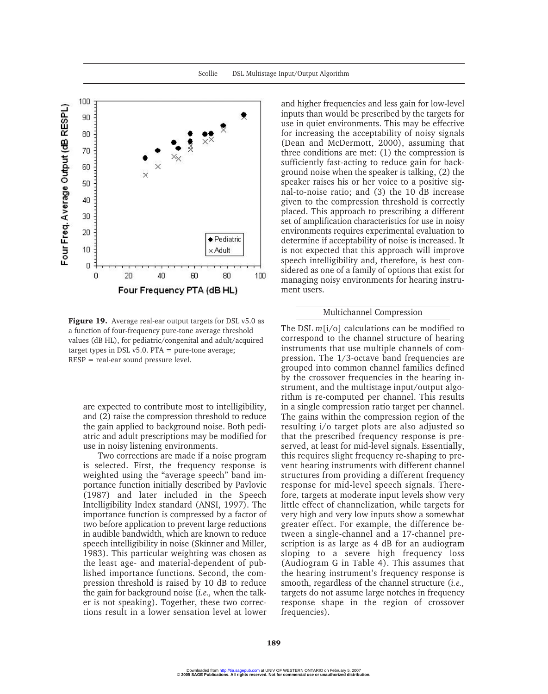

Figure 19. Average real-ear output targets for DSL v5.0 as a function of four-frequency pure-tone average threshold values (dB HL), for pediatric/congenital and adult/acquired target types in DSL v5.0. PTA  $=$  pure-tone average; RESP = real-ear sound pressure level.

are expected to contribute most to intelligibility, and (2) raise the compression threshold to reduce the gain applied to background noise. Both pediatric and adult prescriptions may be modified for use in noisy listening environments.

Two corrections are made if a noise program is selected. First, the frequency response is weighted using the "average speech" band importance function initially described by Pavlovic (1987) and later included in the Speech Intelligibility Index standard (ANSI, 1997). The importance function is compressed by a factor of two before application to prevent large reductions in audible bandwidth, which are known to reduce speech intelligibility in noise (Skinner and Miller, 1983). This particular weighting was chosen as the least age- and material-dependent of published importance functions. Second, the compression threshold is raised by 10 dB to reduce the gain for background noise (*i.e.,* when the talker is not speaking). Together, these two corrections result in a lower sensation level at lower

and higher frequencies and less gain for low-level inputs than would be prescribed by the targets for use in quiet environments. This may be effective for increasing the acceptability of noisy signals (Dean and McDermott, 2000), assuming that three conditions are met: (1) the compression is sufficiently fast-acting to reduce gain for background noise when the speaker is talking, (2) the speaker raises his or her voice to a positive signal-to-noise ratio; and (3) the 10 dB increase given to the compression threshold is correctly placed. This approach to prescribing a different set of amplification characteristics for use in noisy environments requires experimental evaluation to determine if acceptability of noise is increased. It is not expected that this approach will improve speech intelligibility and, therefore, is best considered as one of a family of options that exist for managing noisy environments for hearing instrument users.

#### Multichannel Compression

The DSL *m*[i/o] calculations can be modified to correspond to the channel structure of hearing instruments that use multiple channels of compression. The 1/3-octave band frequencies are grouped into common channel families defined by the crossover frequencies in the hearing instrument, and the multistage input/output algorithm is re-computed per channel. This results in a single compression ratio target per channel. The gains within the compression region of the resulting i/o target plots are also adjusted so that the prescribed frequency response is preserved, at least for mid-level signals. Essentially, this requires slight frequency re-shaping to prevent hearing instruments with different channel structures from providing a different frequency response for mid-level speech signals. Therefore, targets at moderate input levels show very little effect of channelization, while targets for very high and very low inputs show a somewhat greater effect. For example, the difference between a single-channel and a 17-channel prescription is as large as 4 dB for an audiogram sloping to a severe high frequency loss (Audiogram G in Table 4). This assumes that the hearing instrument's frequency response is smooth, regardless of the channel structure (*i.e.,* targets do not assume large notches in frequency response shape in the region of crossover frequencies).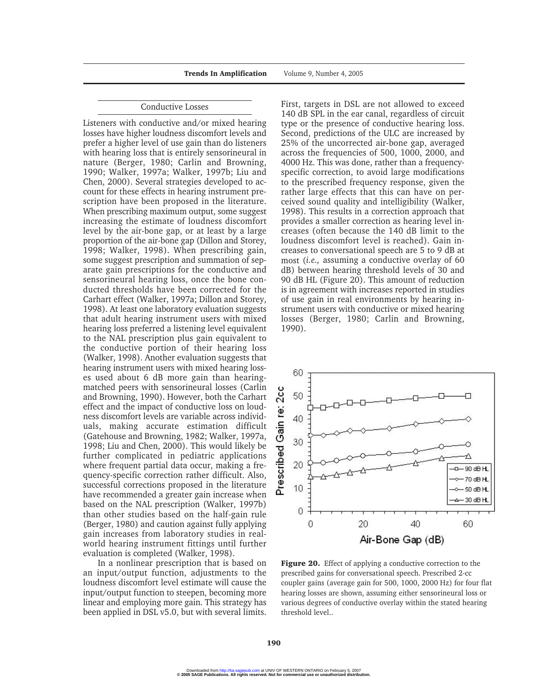#### Trends In Amplification Volume 9, Number 4, 2005

#### Conductive Losses

Listeners with conductive and/or mixed hearing losses have higher loudness discomfort levels and prefer a higher level of use gain than do listeners with hearing loss that is entirely sensorineural in nature (Berger, 1980; Carlin and Browning, 1990; Walker, 1997a; Walker, 1997b; Liu and Chen, 2000). Several strategies developed to account for these effects in hearing instrument prescription have been proposed in the literature. When prescribing maximum output, some suggest increasing the estimate of loudness discomfort level by the air-bone gap, or at least by a large proportion of the air-bone gap (Dillon and Storey, 1998; Walker, 1998). When prescribing gain, some suggest prescription and summation of separate gain prescriptions for the conductive and sensorineural hearing loss, once the bone conducted thresholds have been corrected for the Carhart effect (Walker, 1997a; Dillon and Storey, 1998). At least one laboratory evaluation suggests that adult hearing instrument users with mixed hearing loss preferred a listening level equivalent to the NAL prescription plus gain equivalent to the conductive portion of their hearing loss (Walker, 1998). Another evaluation suggests that hearing instrument users with mixed hearing losses used about 6 dB more gain than hearingmatched peers with sensorineural losses (Carlin and Browning, 1990). However, both the Carhart effect and the impact of conductive loss on loudness discomfort levels are variable across individuals, making accurate estimation difficult (Gatehouse and Browning, 1982; Walker, 1997a, 1998; Liu and Chen, 2000). This would likely be further complicated in pediatric applications where frequent partial data occur, making a frequency-specific correction rather difficult. Also, successful corrections proposed in the literature have recommended a greater gain increase when based on the NAL prescription (Walker, 1997b) than other studies based on the half-gain rule (Berger, 1980) and caution against fully applying gain increases from laboratory studies in realworld hearing instrument fittings until further evaluation is completed (Walker, 1998).

In a nonlinear prescription that is based on an input/output function, adjustments to the loudness discomfort level estimate will cause the input/output function to steepen, becoming more linear and employing more gain. This strategy has been applied in DSL v5.0, but with several limits.

First, targets in DSL are not allowed to exceed 140 dB SPL in the ear canal, regardless of circuit type or the presence of conductive hearing loss. Second, predictions of the ULC are increased by 25% of the uncorrected air-bone gap, averaged across the frequencies of 500, 1000, 2000, and 4000 Hz. This was done, rather than a frequencyspecific correction, to avoid large modifications to the prescribed frequency response, given the rather large effects that this can have on perceived sound quality and intelligibility (Walker, 1998). This results in a correction approach that provides a smaller correction as hearing level increases (often because the 140 dB limit to the loudness discomfort level is reached). Gain increases to conversational speech are 5 to 9 dB at most (*i.e.,* assuming a conductive overlay of 60 dB) between hearing threshold levels of 30 and 90 dB HL (Figure 20). This amount of reduction is in agreement with increases reported in studies of use gain in real environments by hearing instrument users with conductive or mixed hearing losses (Berger, 1980; Carlin and Browning, 1990).



**Figure 20.** Effect of applying a conductive correction to the prescribed gains for conversational speech. Prescribed 2-cc coupler gains (average gain for 500, 1000, 2000 Hz) for four flat hearing losses are shown, assuming either sensorineural loss or various degrees of conductive overlay within the stated hearing threshold level..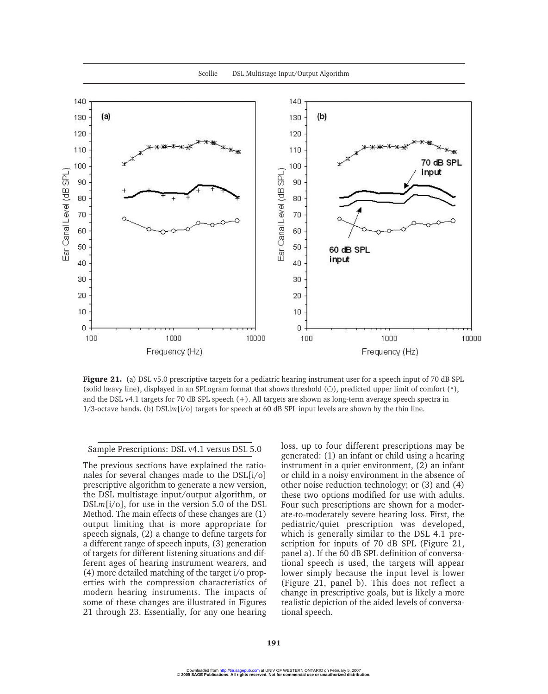

**Figure 21.** (a) DSL v5.0 prescriptive targets for a pediatric hearing instrument user for a speech input of 70 dB SPL (solid heavy line), displayed in an SPLogram format that shows threshold  $(\bigcirc)$ , predicted upper limit of comfort  $(*)$ , and the DSL v4.1 targets for 70 dB SPL speech (+). All targets are shown as long-term average speech spectra in 1/3-octave bands. (b) DSLl*m*[i/o] targets for speech at 60 dB SPL input levels are shown by the thin line.

# Sample Prescriptions: DSL v4.1 versus DSL 5.0

The previous sections have explained the rationales for several changes made to the DSL[i/o] prescriptive algorithm to generate a new version, the DSL multistage input/output algorithm, or DSL*m*[i/o], for use in the version 5.0 of the DSL Method. The main effects of these changes are (1) output limiting that is more appropriate for speech signals, (2) a change to define targets for a different range of speech inputs, (3) generation of targets for different listening situations and different ages of hearing instrument wearers, and (4) more detailed matching of the target i/o properties with the compression characteristics of modern hearing instruments. The impacts of some of these changes are illustrated in Figures 21 through 23. Essentially, for any one hearing

loss, up to four different prescriptions may be generated: (1) an infant or child using a hearing instrument in a quiet environment, (2) an infant or child in a noisy environment in the absence of other noise reduction technology; or (3) and (4) these two options modified for use with adults. Four such prescriptions are shown for a moderate-to-moderately severe hearing loss. First, the pediatric/quiet prescription was developed, which is generally similar to the DSL 4.1 prescription for inputs of 70 dB SPL (Figure 21, panel a). If the 60 dB SPL definition of conversational speech is used, the targets will appear lower simply because the input level is lower (Figure 21, panel b). This does not reflect a change in prescriptive goals, but is likely a more realistic depiction of the aided levels of conversational speech.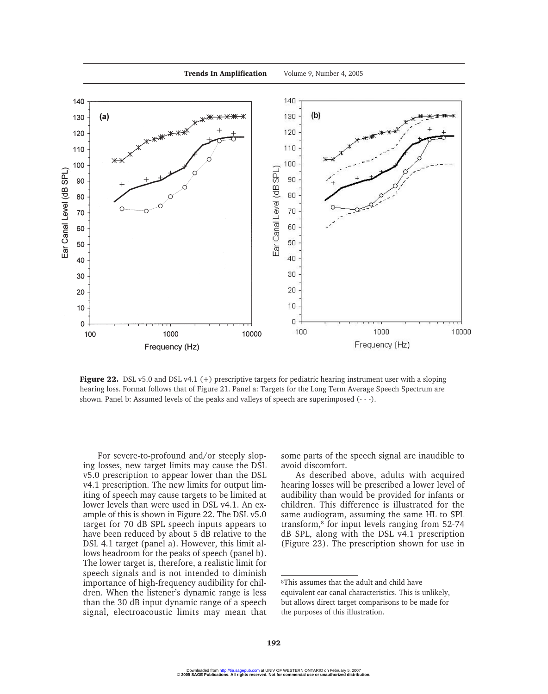

**Figure 22.** DSL v5.0 and DSL v4.1  $(+)$  prescriptive targets for pediatric hearing instrument user with a sloping hearing loss. Format follows that of Figure 21. Panel a: Targets for the Long Term Average Speech Spectrum are shown. Panel b: Assumed levels of the peaks and valleys of speech are superimposed (- - -).

For severe-to-profound and/or steeply sloping losses, new target limits may cause the DSL v5.0 prescription to appear lower than the DSL v4.1 prescription. The new limits for output limiting of speech may cause targets to be limited at lower levels than were used in DSL v4.1. An example of this is shown in Figure 22. The DSL v5.0 target for 70 dB SPL speech inputs appears to have been reduced by about 5 dB relative to the DSL 4.1 target (panel a). However, this limit allows headroom for the peaks of speech (panel b). The lower target is, therefore, a realistic limit for speech signals and is not intended to diminish importance of high-frequency audibility for children. When the listener's dynamic range is less than the 30 dB input dynamic range of a speech signal, electroacoustic limits may mean that

some parts of the speech signal are inaudible to avoid discomfort.

As described above, adults with acquired hearing losses will be prescribed a lower level of audibility than would be provided for infants or children. This difference is illustrated for the same audiogram, assuming the same HL to SPL transform,<sup>8</sup> for input levels ranging from 52-74 dB SPL, along with the DSL v4.1 prescription (Figure 23). The prescription shown for use in

<sup>8</sup>This assumes that the adult and child have

equivalent ear canal characteristics. This is unlikely, but allows direct target comparisons to be made for the purposes of this illustration.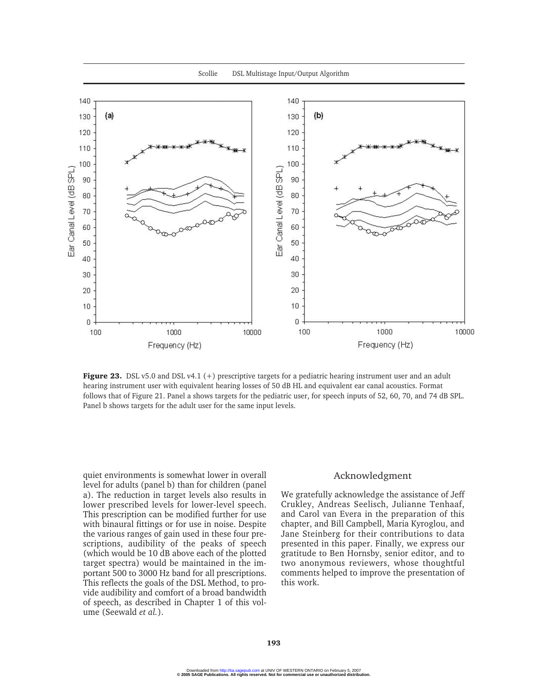

**Figure 23.** DSL v5.0 and DSL v4.1  $(+)$  prescriptive targets for a pediatric hearing instrument user and an adult hearing instrument user with equivalent hearing losses of 50 dB HL and equivalent ear canal acoustics. Format follows that of Figure 21. Panel a shows targets for the pediatric user, for speech inputs of 52, 60, 70, and 74 dB SPL. Panel b shows targets for the adult user for the same input levels.

quiet environments is somewhat lower in overall level for adults (panel b) than for children (panel a). The reduction in target levels also results in lower prescribed levels for lower-level speech. This prescription can be modified further for use with binaural fittings or for use in noise. Despite the various ranges of gain used in these four prescriptions, audibility of the peaks of speech (which would be 10 dB above each of the plotted target spectra) would be maintained in the important 500 to 3000 Hz band for all prescriptions. This reflects the goals of the DSL Method, to provide audibility and comfort of a broad bandwidth of speech, as described in Chapter 1 of this volume (Seewald *et al.*).

# Acknowledgment

We gratefully acknowledge the assistance of Jeff Crukley, Andreas Seelisch, Julianne Tenhaaf, and Carol van Evera in the preparation of this chapter, and Bill Campbell, Maria Kyroglou, and Jane Steinberg for their contributions to data presented in this paper. Finally, we express our gratitude to Ben Hornsby, senior editor, and to two anonymous reviewers, whose thoughtful comments helped to improve the presentation of this work.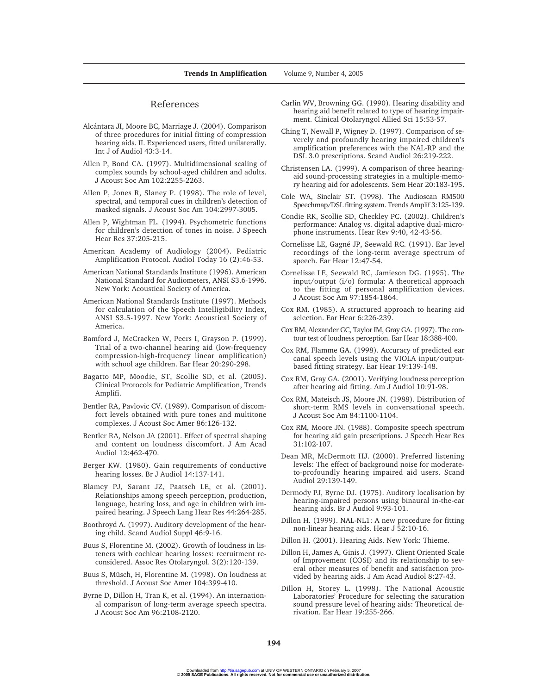#### References

- Alcántara JI, Moore BC, Marriage J. (2004). Comparison of three procedures for initial fitting of compression hearing aids. II. Experienced users, fitted unilaterally. Int J of Audiol 43:3-14.
- Allen P, Bond CA. (1997). Multidimensional scaling of complex sounds by school-aged children and adults. J Acoust Soc Am 102:2255-2263.
- Allen P, Jones R, Slaney P. (1998). The role of level, spectral, and temporal cues in children's detection of masked signals. J Acoust Soc Am 104:2997-3005.
- Allen P, Wightman FL. (1994). Psychometric functions for children's detection of tones in noise. J Speech Hear Res 37:205-215.
- American Academy of Audiology (2004). Pediatric Amplification Protocol. Audiol Today 16 (2):46-53.
- American National Standards Institute (1996). American National Standard for Audiometers, ANSI S3.6-1996. New York: Acoustical Society of America.
- American National Standards Institute (1997). Methods for calculation of the Speech Intelligibility Index, ANSI S3.5-1997. New York: Acoustical Society of America.
- Bamford J, McCracken W, Peers I, Grayson P. (1999). Trial of a two-channel hearing aid (low-frequency compression-high-frequency linear amplification) with school age children. Ear Hear 20:290-298.
- Bagatto MP, Moodie, ST, Scollie SD, et al. (2005). Clinical Protocols for Pediatric Amplification, Trends Amplifi.
- Bentler RA, Pavlovic CV. (1989). Comparison of discomfort levels obtained with pure tones and multitone complexes. J Acoust Soc Amer 86:126-132.
- Bentler RA, Nelson JA (2001). Effect of spectral shaping and content on loudness discomfort. J Am Acad Audiol 12:462-470.
- Berger KW. (1980). Gain requirements of conductive hearing losses. Br J Audiol 14:137-141.
- Blamey PJ, Sarant JZ, Paatsch LE, et al. (2001). Relationships among speech perception, production, language, hearing loss, and age in children with impaired hearing. J Speech Lang Hear Res 44:264-285.
- Boothroyd A. (1997). Auditory development of the hearing child. Scand Audiol Suppl 46:9-16.
- Buus S, Florentine M. (2002). Growth of loudness in listeners with cochlear hearing losses: recruitment reconsidered. Assoc Res Otolaryngol. 3(2):120-139.
- Buus S, Müsch, H, Florentine M. (1998). On loudness at threshold. J Acoust Soc Amer 104:399-410.
- Byrne D, Dillon H, Tran K, et al. (1994). An international comparison of long-term average speech spectra. J Acoust Soc Am 96:2108-2120.
- Carlin WV, Browning GG. (1990). Hearing disability and hearing aid benefit related to type of hearing impairment. Clinical Otolaryngol Allied Sci 15:53-57.
- Ching T, Newall P, Wigney D. (1997). Comparison of severely and profoundly hearing impaired children's amplification preferences with the NAL-RP and the DSL 3.0 prescriptions. Scand Audiol 26:219-222.
- Christensen LA. (1999). A comparison of three hearingaid sound-processing strategies in a multiple-memory hearing aid for adolescents. Sem Hear 20:183-195.
- Cole WA, Sinclair ST. (1998). The Audioscan RM500 Speechmap/DSL fitting system. Trends Amplif 3:125-139.
- Condie RK, Scollie SD, Checkley PC. (2002). Children's performance: Analog vs. digital adaptive dual-microphone instruments. Hear Rev 9:40, 42-43-56.
- Cornelisse LE, Gagné JP, Seewald RC. (1991). Ear level recordings of the long-term average spectrum of speech. Ear Hear 12:47-54.
- Cornelisse LE, Seewald RC, Jamieson DG. (1995). The input/output (i/o) formula: A theoretical approach to the fitting of personal amplification devices. J Acoust Soc Am 97:1854-1864.
- Cox RM. (1985). A structured approach to hearing aid selection. Ear Hear 6:226-239.
- Cox RM, Alexander GC, Taylor IM, Gray GA. (1997). The contour test of loudness perception. Ear Hear 18:388-400.
- Cox RM, Flamme GA. (1998). Accuracy of predicted ear canal speech levels using the VIOLA input/outputbased fitting strategy. Ear Hear 19:139-148.
- Cox RM, Gray GA. (2001). Verifying loudness perception after hearing aid fitting. Am J Audiol 10:91-98.
- Cox RM, Mateisch JS, Moore JN. (1988). Distribution of short-term RMS levels in conversational speech. J Acoust Soc Am 84:1100-1104.
- Cox RM, Moore JN. (1988). Composite speech spectrum for hearing aid gain prescriptions. J Speech Hear Res 31:102-107.
- Dean MR, McDermott HJ. (2000). Preferred listening levels: The effect of background noise for moderateto-profoundly hearing impaired aid users. Scand Audiol 29:139-149.
- Dermody PJ, Byrne DJ. (1975). Auditory localisation by hearing-impaired persons using binaural in-the-ear hearing aids. Br J Audiol 9:93-101.
- Dillon H. (1999). NAL-NL1: A new procedure for fitting non-linear hearing aids. Hear J 52:10-16.
- Dillon H. (2001). Hearing Aids. New York: Thieme.
- Dillon H, James A, Ginis J. (1997). Client Oriented Scale of Improvement (COSI) and its relationship to several other measures of benefit and satisfaction provided by hearing aids. J Am Acad Audiol 8:27-43.
- Dillon H, Storey L. (1998). The National Acoustic Laboratories' Procedure for selecting the saturation sound pressure level of hearing aids: Theoretical derivation. Ear Hear 19:255-266.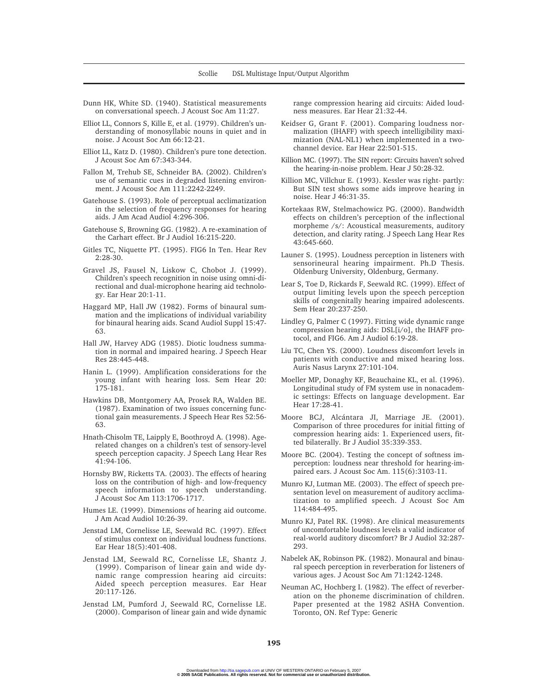- Dunn HK, White SD. (1940). Statistical measurements on conversational speech. J Acoust Soc Am 11:27.
- Elliot LL, Connors S, Kille E, et al. (1979). Children's understanding of monosyllabic nouns in quiet and in noise. J Acoust Soc Am 66:12-21.
- Elliot LL, Katz D. (1980). Children's pure tone detection. J Acoust Soc Am 67:343-344.
- Fallon M, Trehub SE, Schneider BA. (2002). Children's use of semantic cues in degraded listening environment. J Acoust Soc Am 111:2242-2249.
- Gatehouse S. (1993). Role of perceptual acclimatization in the selection of frequency responses for hearing aids. J Am Acad Audiol 4:296-306.
- Gatehouse S, Browning GG. (1982). A re-examination of the Carhart effect. Br J Audiol 16:215-220.
- Gitles TC, Niquette PT. (1995). FIG6 In Ten. Hear Rev 2:28-30.
- Gravel JS, Fausel N, Liskow C, Chobot J. (1999). Children's speech recognition in noise using omni-directional and dual-microphone hearing aid technology. Ear Hear 20:1-11.
- Haggard MP, Hall JW (1982). Forms of binaural summation and the implications of individual variability for binaural hearing aids. Scand Audiol Suppl 15:47- 63.
- Hall JW, Harvey ADG (1985). Diotic loudness summation in normal and impaired hearing. J Speech Hear Res 28:445-448.
- Hanin L. (1999). Amplification considerations for the young infant with hearing loss. Sem Hear 20: 175-181.
- Hawkins DB, Montgomery AA, Prosek RA, Walden BE. (1987). Examination of two issues concerning functional gain measurements. J Speech Hear Res 52:56- 63.
- Hnath-Chisolm TE, Laipply E, Boothroyd A. (1998). Agerelated changes on a children's test of sensory-level speech perception capacity. J Speech Lang Hear Res 41:94-106.
- Hornsby BW, Ricketts TA. (2003). The effects of hearing loss on the contribution of high- and low-frequency speech information to speech understanding. J Acoust Soc Am 113:1706-1717.
- Humes LE. (1999). Dimensions of hearing aid outcome. J Am Acad Audiol 10:26-39.
- Jenstad LM, Cornelisse LE, Seewald RC. (1997). Effect of stimulus context on individual loudness functions. Ear Hear 18(5):401-408.
- Jenstad LM, Seewald RC, Cornelisse LE, Shantz J. (1999). Comparison of linear gain and wide dynamic range compression hearing aid circuits: Aided speech perception measures. Ear Hear 20:117-126.
- Jenstad LM, Pumford J, Seewald RC, Cornelisse LE. (2000). Comparison of linear gain and wide dynamic

range compression hearing aid circuits: Aided loudness measures. Ear Hear 21:32-44.

- Keidser G, Grant F. (2001). Comparing loudness normalization (IHAFF) with speech intelligibility maximization (NAL-NL1) when implemented in a twochannel device. Ear Hear 22:501-515.
- Killion MC. (1997). The SIN report: Circuits haven't solved the hearing-in-noise problem. Hear J 50:28-32.
- Killion MC, Villchur E. (1993). Kessler was right- partly: But SIN test shows some aids improve hearing in noise. Hear J 46:31-35.
- Kortekaas RW, Stelmachowicz PG. (2000). Bandwidth effects on children's perception of the inflectional morpheme /s/: Acoustical measurements, auditory detection, and clarity rating. J Speech Lang Hear Res 43:645-660.
- Launer S. (1995). Loudness perception in listeners with sensorineural hearing impairment. Ph.D Thesis. Oldenburg University, Oldenburg, Germany.
- Lear S, Toe D, Rickards F, Seewald RC. (1999). Effect of output limiting levels upon the speech perception skills of congenitally hearing impaired adolescents. Sem Hear 20:237-250.
- Lindley G, Palmer C (1997). Fitting wide dynamic range compression hearing aids: DSL[i/o], the IHAFF protocol, and FIG6. Am J Audiol 6:19-28.
- Liu TC, Chen YS. (2000). Loudness discomfort levels in patients with conductive and mixed hearing loss. Auris Nasus Larynx 27:101-104.
- Moeller MP, Donaghy KF, Beauchaine KL, et al. (1996). Longitudinal study of FM system use in nonacademic settings: Effects on language development. Ear Hear 17:28-41.
- Moore BCJ, Alcántara JI, Marriage JE. (2001). Comparison of three procedures for initial fitting of compression hearing aids: 1. Experienced users, fitted bilaterally. Br J Audiol 35:339-353.
- Moore BC. (2004). Testing the concept of softness imperception: loudness near threshold for hearing-impaired ears. J Acoust Soc Am. 115(6):3103-11.
- Munro KJ, Lutman ME. (2003). The effect of speech presentation level on measurement of auditory acclimatization to amplified speech. J Acoust Soc Am 114:484-495.
- Munro KJ, Patel RK. (1998). Are clinical measurements of uncomfortable loudness levels a valid indicator of real-world auditory discomfort? Br J Audiol 32:287- 293.
- Nabelek AK, Robinson PK. (1982). Monaural and binaural speech perception in reverberation for listeners of various ages. J Acoust Soc Am 71:1242-1248.
- Neuman AC, Hochberg I. (1982). The effect of reverberation on the phoneme discrimination of children. Paper presented at the 1982 ASHA Convention. Toronto, ON. Ref Type: Generic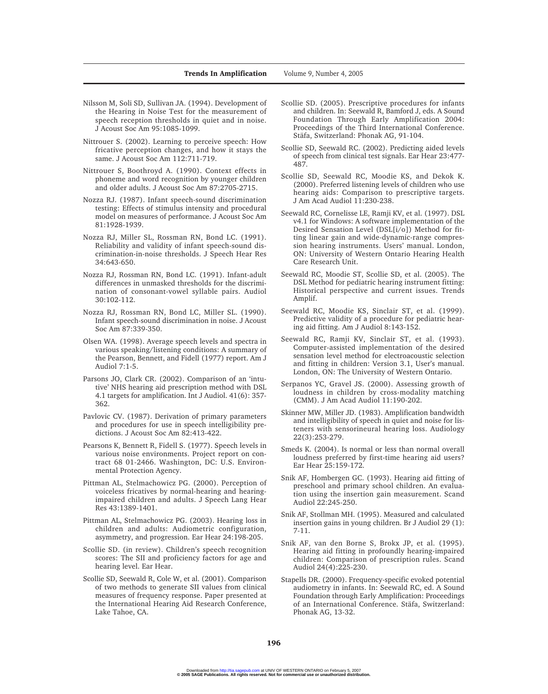- Nilsson M, Soli SD, Sullivan JA. (1994). Development of the Hearing in Noise Test for the measurement of speech reception thresholds in quiet and in noise. J Acoust Soc Am 95:1085-1099.
- Nittrouer S. (2002). Learning to perceive speech: How fricative perception changes, and how it stays the same. J Acoust Soc Am 112:711-719.
- Nittrouer S, Boothroyd A. (1990). Context effects in phoneme and word recognition by younger children and older adults. J Acoust Soc Am 87:2705-2715.
- Nozza RJ. (1987). Infant speech-sound discrimination testing: Effects of stimulus intensity and procedural model on measures of performance. J Acoust Soc Am 81:1928-1939.
- Nozza RJ, Miller SL, Rossman RN, Bond LC. (1991). Reliability and validity of infant speech-sound discrimination-in-noise thresholds. J Speech Hear Res 34:643-650.
- Nozza RJ, Rossman RN, Bond LC. (1991). Infant-adult differences in unmasked thresholds for the discrimination of consonant-vowel syllable pairs. Audiol 30:102-112.
- Nozza RJ, Rossman RN, Bond LC, Miller SL. (1990). Infant speech-sound discrimination in noise. J Acoust Soc Am 87:339-350.
- Olsen WA. (1998). Average speech levels and spectra in various speaking/listening conditions: A summary of the Pearson, Bennett, and Fidell (1977) report. Am J Audiol 7:1-5.
- Parsons JO, Clark CR. (2002). Comparison of an 'intutive' NHS hearing aid prescription method with DSL 4.1 targets for amplification. Int J Audiol. 41(6): 357- 362.
- Pavlovic CV. (1987). Derivation of primary parameters and procedures for use in speech intelligibility predictions. J Acoust Soc Am 82:413-422.
- Pearsons K, Bennett R, Fidell S. (1977). Speech levels in various noise environments. Project report on contract 68 01-2466. Washington, DC: U.S. Environmental Protection Agency.
- Pittman AL, Stelmachowicz PG. (2000). Perception of voiceless fricatives by normal-hearing and hearingimpaired children and adults. J Speech Lang Hear Res 43:1389-1401.
- Pittman AL, Stelmachowicz PG. (2003). Hearing loss in children and adults: Audiometric configuration, asymmetry, and progression. Ear Hear 24:198-205.
- Scollie SD. (in review). Children's speech recognition scores: The SII and proficiency factors for age and hearing level. Ear Hear.
- Scollie SD, Seewald R, Cole W, et al. (2001). Comparison of two methods to generate SII values from clinical measures of frequency response. Paper presented at the International Hearing Aid Research Conference, Lake Tahoe, CA.
- Scollie SD. (2005). Prescriptive procedures for infants and children. In: Seewald R, Bamford J, eds. A Sound Foundation Through Early Amplification 2004: Proceedings of the Third International Conference. Stäfa, Switzerland: Phonak AG, 91-104.
- Scollie SD, Seewald RC. (2002). Predicting aided levels of speech from clinical test signals. Ear Hear 23:477- 487.
- Scollie SD, Seewald RC, Moodie KS, and Dekok K. (2000). Preferred listening levels of children who use hearing aids: Comparison to prescriptive targets. J Am Acad Audiol 11:230-238.
- Seewald RC, Cornelisse LE, Ramji KV, et al. (1997). DSL v4.1 for Windows: A software implementation of the Desired Sensation Level (DSL[i/o]) Method for fitting linear gain and wide-dynamic-range compression hearing instruments. Users' manual. London, ON: University of Western Ontario Hearing Health Care Research Unit.
- Seewald RC, Moodie ST, Scollie SD, et al. (2005). The DSL Method for pediatric hearing instrument fitting: Historical perspective and current issues. Trends Amplif.
- Seewald RC, Moodie KS, Sinclair ST, et al. (1999). Predictive validity of a procedure for pediatric hearing aid fitting. Am J Audiol 8:143-152.
- Seewald RC, Ramji KV, Sinclair ST, et al. (1993). Computer-assisted implementation of the desired sensation level method for electroacoustic selection and fitting in children: Version 3.1, User's manual. London, ON: The University of Western Ontario.
- Serpanos YC, Gravel JS. (2000). Assessing growth of loudness in children by cross-modality matching (CMM). J Am Acad Audiol 11:190-202.
- Skinner MW, Miller JD. (1983). Amplification bandwidth and intelligibility of speech in quiet and noise for listeners with sensorineural hearing loss. Audiology 22(3):253-279.
- Smeds K. (2004). Is normal or less than normal overall loudness preferred by first-time hearing aid users? Ear Hear 25:159-172.
- Snik AF, Hombergen GC. (1993). Hearing aid fitting of preschool and primary school children. An evaluation using the insertion gain measurement. Scand Audiol 22:245-250.
- Snik AF, Stollman MH. (1995). Measured and calculated insertion gains in young children. Br J Audiol 29 (1): 7-11.
- Snik AF, van den Borne S, Brokx JP, et al. (1995). Hearing aid fitting in profoundly hearing-impaired children: Comparison of prescription rules. Scand Audiol 24(4):225-230.
- Stapells DR. (2000). Frequency-specific evoked potential audiometry in infants. In: Seewald RC, ed. A Sound Foundation through Early Amplification: Proceedings of an International Conference. Stäfa, Switzerland: Phonak AG, 13-32.